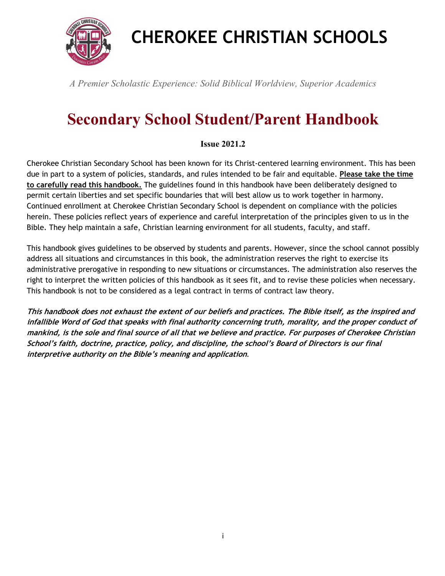

# **CHEROKEE CHRISTIAN SCHOOLS**

*A Premier Scholastic Experience: Solid Biblical Worldview, Superior Academics* 

# **Secondary School Student/Parent Handbook**

#### **Issue 2021.2**

Cherokee Christian Secondary School has been known for its Christ-centered learning environment. This has been due in part to a system of policies, standards, and rules intended to be fair and equitable. **Please take the time to carefully read this handbook.** The guidelines found in this handbook have been deliberately designed to permit certain liberties and set specific boundaries that will best allow us to work together in harmony. Continued enrollment at Cherokee Christian Secondary School is dependent on compliance with the policies herein. These policies reflect years of experience and careful interpretation of the principles given to us in the Bible. They help maintain a safe, Christian learning environment for all students, faculty, and staff.

This handbook gives guidelines to be observed by students and parents. However, since the school cannot possibly address all situations and circumstances in this book, the administration reserves the right to exercise its administrative prerogative in responding to new situations or circumstances. The administration also reserves the right to interpret the written policies of this handbook as it sees fit, and to revise these policies when necessary. This handbook is not to be considered as a legal contract in terms of contract law theory.

**This handbook does not exhaust the extent of our beliefs and practices. The Bible itself, as the inspired and infallible Word of God that speaks with final authority concerning truth, morality, and the proper conduct of mankind, is the sole and final source of all that we believe and practice. For purposes of Cherokee Christian School's faith, doctrine, practice, policy, and discipline, the school's Board of Directors is our final interpretive authority on the Bible's meaning and application**.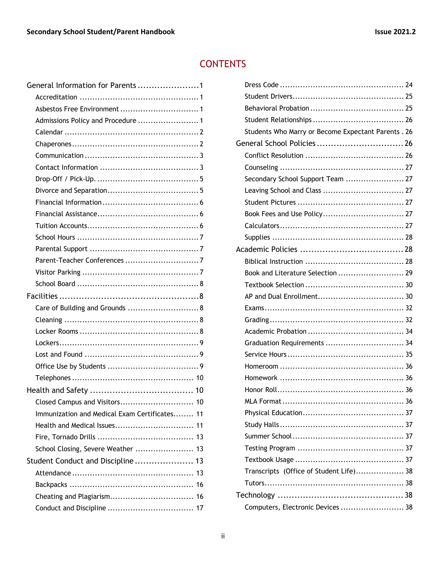## **CONTENTS**

| General Information for Parents1              |  |
|-----------------------------------------------|--|
|                                               |  |
|                                               |  |
| Admissions Policy and Procedure  1            |  |
|                                               |  |
|                                               |  |
|                                               |  |
|                                               |  |
|                                               |  |
|                                               |  |
|                                               |  |
|                                               |  |
|                                               |  |
|                                               |  |
|                                               |  |
|                                               |  |
|                                               |  |
|                                               |  |
|                                               |  |
| Care of Building and Grounds  8               |  |
|                                               |  |
|                                               |  |
|                                               |  |
|                                               |  |
|                                               |  |
|                                               |  |
|                                               |  |
| Closed Campus and Visitors 10                 |  |
| Immunization and Medical Exam Certificates 11 |  |
|                                               |  |
|                                               |  |
| School Closing, Severe Weather  13            |  |
| Student Conduct and Discipline  13            |  |
|                                               |  |
|                                               |  |
|                                               |  |
|                                               |  |
|                                               |  |

| Students Who Marry or Become Expectant Parents . 26 |  |
|-----------------------------------------------------|--|
|                                                     |  |
|                                                     |  |
|                                                     |  |
| Secondary School Support Team  27                   |  |
|                                                     |  |
|                                                     |  |
|                                                     |  |
|                                                     |  |
|                                                     |  |
|                                                     |  |
|                                                     |  |
| Book and Literature Selection  29                   |  |
|                                                     |  |
|                                                     |  |
|                                                     |  |
|                                                     |  |
|                                                     |  |
| Graduation Requirements  34                         |  |
|                                                     |  |
|                                                     |  |
|                                                     |  |
|                                                     |  |
|                                                     |  |
|                                                     |  |
|                                                     |  |
|                                                     |  |
|                                                     |  |
|                                                     |  |
| Transcripts (Office of Student Life) 38             |  |
|                                                     |  |
|                                                     |  |
| Computers, Electronic Devices  38                   |  |
|                                                     |  |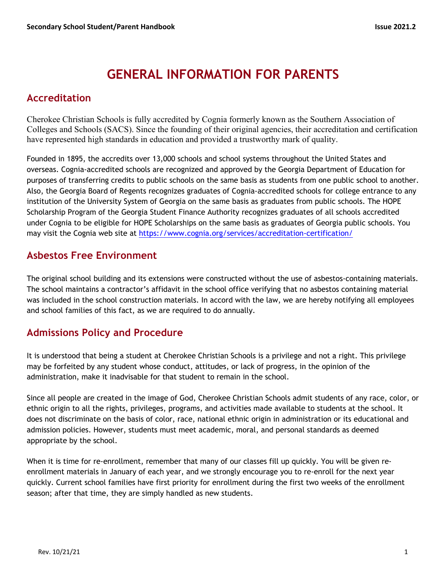## **GENERAL INFORMATION FOR PARENTS**

## **Accreditation**

Cherokee Christian Schools is fully accredited by Cognia formerly known as the Southern Association of Colleges and Schools (SACS). Since the founding of their original agencies, their accreditation and certification have represented high standards in education and provided a trustworthy mark of quality.

Founded in 1895, the accredits over 13,000 schools and school systems throughout the United States and overseas. Cognia-accredited schools are recognized and approved by the Georgia Department of Education for purposes of transferring credits to public schools on the same basis as students from one public school to another. Also, the Georgia Board of Regents recognizes graduates of Cognia-accredited schools for college entrance to any institution of the University System of Georgia on the same basis as graduates from public schools. The HOPE Scholarship Program of the Georgia Student Finance Authority recognizes graduates of all schools accredited under Cognia to be eligible for HOPE Scholarships on the same basis as graduates of Georgia public schools. You may visit the Cognia web site at https://www.cognia.org/services/accreditation-certification/

## **Asbestos Free Environment**

The original school building and its extensions were constructed without the use of asbestos-containing materials. The school maintains a contractor's affidavit in the school office verifying that no asbestos containing material was included in the school construction materials. In accord with the law, we are hereby notifying all employees and school families of this fact, as we are required to do annually.

## **Admissions Policy and Procedure**

It is understood that being a student at Cherokee Christian Schools is a privilege and not a right. This privilege may be forfeited by any student whose conduct, attitudes, or lack of progress, in the opinion of the administration, make it inadvisable for that student to remain in the school.

Since all people are created in the image of God, Cherokee Christian Schools admit students of any race, color, or ethnic origin to all the rights, privileges, programs, and activities made available to students at the school. It does not discriminate on the basis of color, race, national ethnic origin in administration or its educational and admission policies. However, students must meet academic, moral, and personal standards as deemed appropriate by the school.

When it is time for re-enrollment, remember that many of our classes fill up quickly. You will be given reenrollment materials in January of each year, and we strongly encourage you to re-enroll for the next year quickly. Current school families have first priority for enrollment during the first two weeks of the enrollment season; after that time, they are simply handled as new students.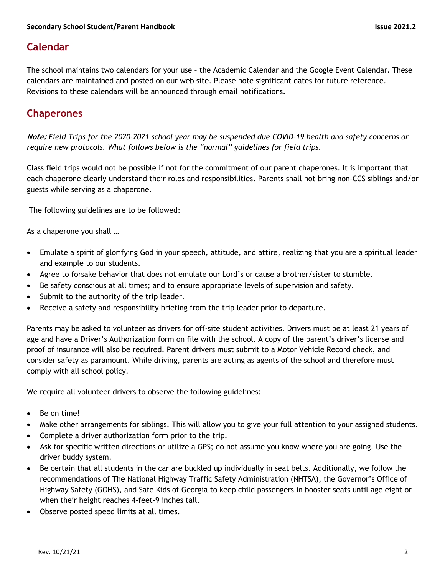## **Calendar**

The school maintains two calendars for your use – the Academic Calendar and the Google Event Calendar. These calendars are maintained and posted on our web site. Please note significant dates for future reference. Revisions to these calendars will be announced through email notifications.

## **Chaperones**

**Note:** *Field Trips for the 2020-2021 school year may be suspended due COVID-19 health and safety concerns or require new protocols. What follows below is the "normal" guidelines for field trips.*

Class field trips would not be possible if not for the commitment of our parent chaperones. It is important that each chaperone clearly understand their roles and responsibilities. Parents shall not bring non-CCS siblings and/or guests while serving as a chaperone.

The following guidelines are to be followed:

As a chaperone you shall …

- Emulate a spirit of glorifying God in your speech, attitude, and attire, realizing that you are a spiritual leader and example to our students.
- Agree to forsake behavior that does not emulate our Lord's or cause a brother/sister to stumble.
- Be safety conscious at all times; and to ensure appropriate levels of supervision and safety.
- Submit to the authority of the trip leader.
- Receive a safety and responsibility briefing from the trip leader prior to departure.

Parents may be asked to volunteer as drivers for off-site student activities. Drivers must be at least 21 years of age and have a Driver's Authorization form on file with the school. A copy of the parent's driver's license and proof of insurance will also be required. Parent drivers must submit to a Motor Vehicle Record check, and consider safety as paramount. While driving, parents are acting as agents of the school and therefore must comply with all school policy.

We require all volunteer drivers to observe the following guidelines:

- Be on time!
- Make other arrangements for siblings. This will allow you to give your full attention to your assigned students.
- Complete a driver authorization form prior to the trip.
- Ask for specific written directions or utilize a GPS; do not assume you know where you are going. Use the driver buddy system.
- Be certain that all students in the car are buckled up individually in seat belts. Additionally, we follow the recommendations of The National Highway Traffic Safety Administration (NHTSA), the Governor's Office of Highway Safety (GOHS), and Safe Kids of Georgia to keep child passengers in booster seats until age eight or when their height reaches 4-feet-9 inches tall.
- Observe posted speed limits at all times.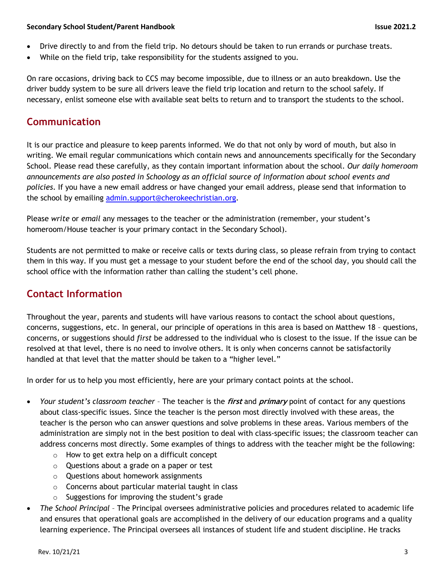- Drive directly to and from the field trip. No detours should be taken to run errands or purchase treats.
- While on the field trip, take responsibility for the students assigned to you.

On rare occasions, driving back to CCS may become impossible, due to illness or an auto breakdown. Use the driver buddy system to be sure all drivers leave the field trip location and return to the school safely. If necessary, enlist someone else with available seat belts to return and to transport the students to the school.

## **Communication**

It is our practice and pleasure to keep parents informed. We do that not only by word of mouth, but also in writing. We email regular communications which contain news and announcements specifically for the Secondary School. Please read these carefully, as they contain important information about the school. *Our daily homeroom announcements are also posted in Schoology as an official source of information about school events and policies*. If you have a new email address or have changed your email address, please send that information to the school by emailing admin.support@cherokeechristian.org.

Please *write* or *email* any messages to the teacher or the administration (remember, your student's homeroom/House teacher is your primary contact in the Secondary School).

Students are not permitted to make or receive calls or texts during class, so please refrain from trying to contact them in this way. If you must get a message to your student before the end of the school day, you should call the school office with the information rather than calling the student's cell phone.

## **Contact Information**

Throughout the year, parents and students will have various reasons to contact the school about questions, concerns, suggestions, etc. In general, our principle of operations in this area is based on Matthew 18 – questions, concerns, or suggestions should *first* be addressed to the individual who is closest to the issue. If the issue can be resolved at that level, there is no need to involve others. It is only when concerns cannot be satisfactorily handled at that level that the matter should be taken to a "higher level."

In order for us to help you most efficiently, here are your primary contact points at the school.

- *Your student's classroom teacher* The teacher is the **first** and **primary** point of contact for any questions about class-specific issues. Since the teacher is the person most directly involved with these areas, the teacher is the person who can answer questions and solve problems in these areas. Various members of the administration are simply not in the best position to deal with class-specific issues; the classroom teacher can address concerns most directly. Some examples of things to address with the teacher might be the following:
	- o How to get extra help on a difficult concept
	- o Questions about a grade on a paper or test
	- o Questions about homework assignments
	- o Concerns about particular material taught in class
	- $\circ$  Suggestions for improving the student's grade
- *The School Principal* The Principal oversees administrative policies and procedures related to academic life and ensures that operational goals are accomplished in the delivery of our education programs and a quality learning experience. The Principal oversees all instances of student life and student discipline. He tracks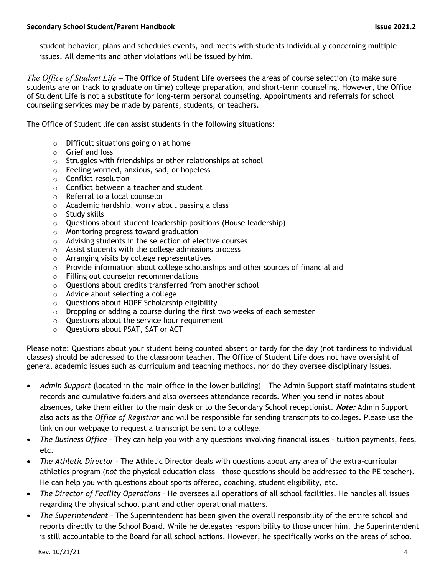student behavior, plans and schedules events, and meets with students individually concerning multiple issues. All demerits and other violations will be issued by him.

*The Office of Student Life* – The Office of Student Life oversees the areas of course selection (to make sure students are on track to graduate on time) college preparation, and short-term counseling. However, the Office of Student Life is not a substitute for long-term personal counseling. Appointments and referrals for school counseling services may be made by parents, students, or teachers.

The Office of Student life can assist students in the following situations:

- o Difficult situations going on at home
- o Grief and loss
- o Struggles with friendships or other relationships at school
- o Feeling worried, anxious, sad, or hopeless
- o Conflict resolution
- o Conflict between a teacher and student
- o Referral to a local counselor
- o Academic hardship, worry about passing a class
- o Study skills
- o Questions about student leadership positions (House leadership)
- o Monitoring progress toward graduation
- o Advising students in the selection of elective courses
- o Assist students with the college admissions process
- o Arranging visits by college representatives
- $\circ$  Provide information about college scholarships and other sources of financial aid
- o Filling out counselor recommendations
- o Questions about credits transferred from another school
- o Advice about selecting a college
- o Questions about HOPE Scholarship eligibility
- o Dropping or adding a course during the first two weeks of each semester
- o Questions about the service hour requirement
- o Questions about PSAT, SAT or ACT

Please note: Questions about your student being counted absent or tardy for the day (not tardiness to individual classes) should be addressed to the classroom teacher. The Office of Student Life does not have oversight of general academic issues such as curriculum and teaching methods, nor do they oversee disciplinary issues.

- *Admin Support* (located in the main office in the lower building) The Admin Support staff maintains student records and cumulative folders and also oversees attendance records. When you send in notes about absences, take them either to the main desk or to the Secondary School receptionist. **Note:** Admin Support also acts as the *Office of Registrar* and will be responsible for sending transcripts to colleges. Please use the link on our webpage to request a transcript be sent to a college.
- *The Business Office* They can help you with any questions involving financial issues tuition payments, fees, etc.
- *The Athletic Director*  The Athletic Director deals with questions about any area of the extra-curricular athletics program (*not* the physical education class – those questions should be addressed to the PE teacher). He can help you with questions about sports offered, coaching, student eligibility, etc.
- *The Director of Facility Operations* He oversees all operations of all school facilities. He handles all issues regarding the physical school plant and other operational matters.
- *The Superintendent* The Superintendent has been given the overall responsibility of the entire school and reports directly to the School Board. While he delegates responsibility to those under him, the Superintendent is still accountable to the Board for all school actions. However, he specifically works on the areas of school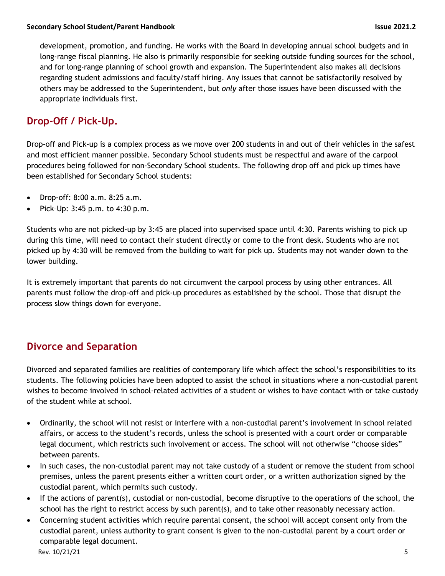development, promotion, and funding. He works with the Board in developing annual school budgets and in long-range fiscal planning. He also is primarily responsible for seeking outside funding sources for the school, and for long-range planning of school growth and expansion. The Superintendent also makes all decisions regarding student admissions and faculty/staff hiring. Any issues that cannot be satisfactorily resolved by others may be addressed to the Superintendent, but *only* after those issues have been discussed with the appropriate individuals first.

## **Drop-Off / Pick-Up.**

Drop-off and Pick-up is a complex process as we move over 200 students in and out of their vehicles in the safest and most efficient manner possible. Secondary School students must be respectful and aware of the carpool procedures being followed for non-Secondary School students. The following drop off and pick up times have been established for Secondary School students:

- Drop-off: 8:00 a.m. 8:25 a.m.
- Pick–Up: 3:45 p.m. to 4:30 p.m.

Students who are not picked-up by 3:45 are placed into supervised space until 4:30. Parents wishing to pick up during this time, will need to contact their student directly or come to the front desk. Students who are not picked up by 4:30 will be removed from the building to wait for pick up. Students may not wander down to the lower building.

It is extremely important that parents do not circumvent the carpool process by using other entrances. All parents must follow the drop-off and pick-up procedures as established by the school. Those that disrupt the process slow things down for everyone.

## **Divorce and Separation**

Divorced and separated families are realities of contemporary life which affect the school's responsibilities to its students. The following policies have been adopted to assist the school in situations where a non-custodial parent wishes to become involved in school-related activities of a student or wishes to have contact with or take custody of the student while at school.

- Ordinarily, the school will not resist or interfere with a non-custodial parent's involvement in school related affairs, or access to the student's records, unless the school is presented with a court order or comparable legal document, which restricts such involvement or access. The school will not otherwise "choose sides" between parents.
- In such cases, the non-custodial parent may not take custody of a student or remove the student from school premises, unless the parent presents either a written court order, or a written authorization signed by the custodial parent, which permits such custody.
- If the actions of parent(s), custodial or non-custodial, become disruptive to the operations of the school, the school has the right to restrict access by such parent(s), and to take other reasonably necessary action.
- Concerning student activities which require parental consent, the school will accept consent only from the custodial parent, unless authority to grant consent is given to the non-custodial parent by a court order or comparable legal document.

Rev. 10/21/21 5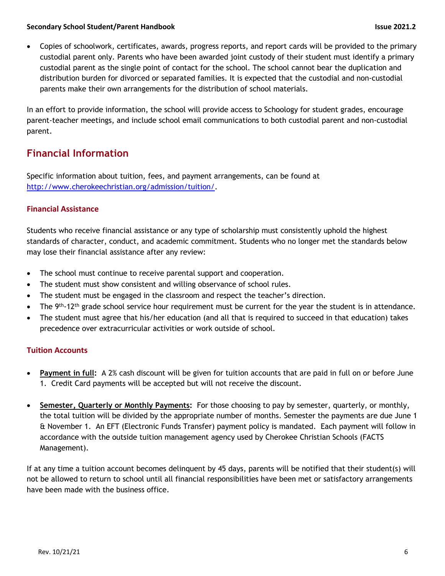• Copies of schoolwork, certificates, awards, progress reports, and report cards will be provided to the primary custodial parent only. Parents who have been awarded joint custody of their student must identify a primary custodial parent as the single point of contact for the school. The school cannot bear the duplication and distribution burden for divorced or separated families. It is expected that the custodial and non-custodial parents make their own arrangements for the distribution of school materials.

In an effort to provide information, the school will provide access to Schoology for student grades, encourage parent-teacher meetings, and include school email communications to both custodial parent and non-custodial parent.

## **Financial Information**

Specific information about tuition, fees, and payment arrangements, can be found at http://www.cherokeechristian.org/admission/tuition/.

#### **Financial Assistance**

Students who receive financial assistance or any type of scholarship must consistently uphold the highest standards of character, conduct, and academic commitment. Students who no longer met the standards below may lose their financial assistance after any review:

- The school must continue to receive parental support and cooperation.
- The student must show consistent and willing observance of school rules.
- The student must be engaged in the classroom and respect the teacher's direction.
- The 9<sup>th</sup>-12<sup>th</sup> grade school service hour requirement must be current for the year the student is in attendance.
- The student must agree that his/her education (and all that is required to succeed in that education) takes precedence over extracurricular activities or work outside of school.

#### **Tuition Accounts**

- **Payment in full:** A 2% cash discount will be given for tuition accounts that are paid in full on or before June 1. Credit Card payments will be accepted but will not receive the discount.
- **Semester, Quarterly or Monthly Payments:** For those choosing to pay by semester, quarterly, or monthly, the total tuition will be divided by the appropriate number of months. Semester the payments are due June 1 & November 1. An EFT (Electronic Funds Transfer) payment policy is mandated. Each payment will follow in accordance with the outside tuition management agency used by Cherokee Christian Schools (FACTS Management).

If at any time a tuition account becomes delinquent by 45 days, parents will be notified that their student(s) will not be allowed to return to school until all financial responsibilities have been met or satisfactory arrangements have been made with the business office.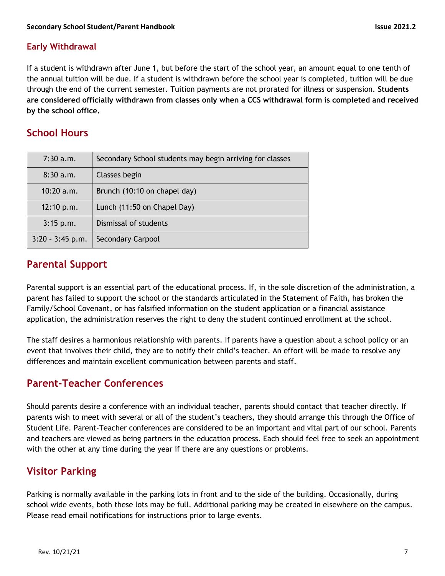#### **Early Withdrawal**

If a student is withdrawn after June 1, but before the start of the school year, an amount equal to one tenth of the annual tuition will be due. If a student is withdrawn before the school year is completed, tuition will be due through the end of the current semester. Tuition payments are not prorated for illness or suspension. **Students are considered officially withdrawn from classes only when a CCS withdrawal form is completed and received by the school office.**

## **School Hours**

| $7:30$ a.m.        | Secondary School students may begin arriving for classes |
|--------------------|----------------------------------------------------------|
| 8:30a.m.           | Classes begin                                            |
| 10:20a.m.          | Brunch (10:10 on chapel day)                             |
| 12:10 p.m.         | Lunch (11:50 on Chapel Day)                              |
| $3:15$ p.m.        | Dismissal of students                                    |
| $3:20 - 3:45$ p.m. | <b>Secondary Carpool</b>                                 |

## **Parental Support**

Parental support is an essential part of the educational process. If, in the sole discretion of the administration, a parent has failed to support the school or the standards articulated in the Statement of Faith, has broken the Family/School Covenant, or has falsified information on the student application or a financial assistance application, the administration reserves the right to deny the student continued enrollment at the school.

The staff desires a harmonious relationship with parents. If parents have a question about a school policy or an event that involves their child, they are to notify their child's teacher. An effort will be made to resolve any differences and maintain excellent communication between parents and staff.

## **Parent-Teacher Conferences**

Should parents desire a conference with an individual teacher, parents should contact that teacher directly. If parents wish to meet with several or all of the student's teachers, they should arrange this through the Office of Student Life. Parent-Teacher conferences are considered to be an important and vital part of our school. Parents and teachers are viewed as being partners in the education process. Each should feel free to seek an appointment with the other at any time during the year if there are any questions or problems.

## **Visitor Parking**

Parking is normally available in the parking lots in front and to the side of the building. Occasionally, during school wide events, both these lots may be full. Additional parking may be created in elsewhere on the campus. Please read email notifications for instructions prior to large events.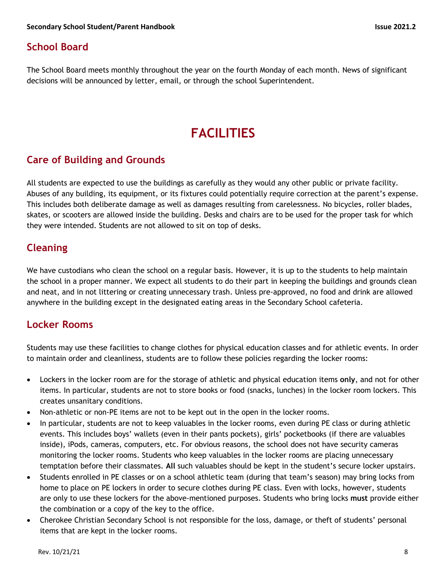## **School Board**

The School Board meets monthly throughout the year on the fourth Monday of each month. News of significant decisions will be announced by letter, email, or through the school Superintendent.

## **FACILITIES**

## **Care of Building and Grounds**

All students are expected to use the buildings as carefully as they would any other public or private facility. Abuses of any building, its equipment, or its fixtures could potentially require correction at the parent's expense. This includes both deliberate damage as well as damages resulting from carelessness. No bicycles, roller blades, skates, or scooters are allowed inside the building. Desks and chairs are to be used for the proper task for which they were intended. Students are not allowed to sit on top of desks.

## **Cleaning**

We have custodians who clean the school on a regular basis. However, it is up to the students to help maintain the school in a proper manner. We expect all students to do their part in keeping the buildings and grounds clean and neat, and in not littering or creating unnecessary trash. Unless pre-approved, no food and drink are allowed anywhere in the building except in the designated eating areas in the Secondary School cafeteria.

## **Locker Rooms**

Students may use these facilities to change clothes for physical education classes and for athletic events. In order to maintain order and cleanliness, students are to follow these policies regarding the locker rooms:

- Lockers in the locker room are for the storage of athletic and physical education items **only**, and not for other items. In particular, students are not to store books or food (snacks, lunches) in the locker room lockers. This creates unsanitary conditions.
- Non-athletic or non-PE items are not to be kept out in the open in the locker rooms.
- In particular, students are not to keep valuables in the locker rooms, even during PE class or during athletic events. This includes boys' wallets (even in their pants pockets), girls' pocketbooks (if there are valuables inside), iPods, cameras, computers, etc. For obvious reasons, the school does not have security cameras monitoring the locker rooms. Students who keep valuables in the locker rooms are placing unnecessary temptation before their classmates. **All** such valuables should be kept in the student's secure locker upstairs.
- Students enrolled in PE classes or on a school athletic team (during that team's season) may bring locks from home to place on PE lockers in order to secure clothes during PE class. Even with locks, however, students are only to use these lockers for the above-mentioned purposes. Students who bring locks **must** provide either the combination or a copy of the key to the office.
- Cherokee Christian Secondary School is not responsible for the loss, damage, or theft of students' personal items that are kept in the locker rooms.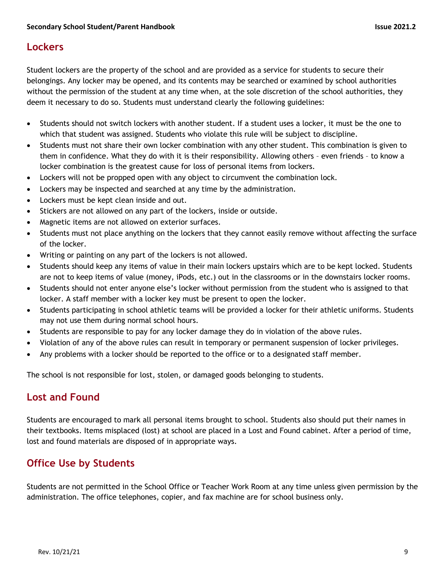## **Lockers**

Student lockers are the property of the school and are provided as a service for students to secure their belongings. Any locker may be opened, and its contents may be searched or examined by school authorities without the permission of the student at any time when, at the sole discretion of the school authorities, they deem it necessary to do so. Students must understand clearly the following guidelines:

- Students should not switch lockers with another student. If a student uses a locker, it must be the one to which that student was assigned. Students who violate this rule will be subject to discipline.
- Students must not share their own locker combination with any other student. This combination is given to them in confidence. What they do with it is their responsibility. Allowing others – even friends – to know a locker combination is the greatest cause for loss of personal items from lockers.
- Lockers will not be propped open with any object to circumvent the combination lock.
- Lockers may be inspected and searched at any time by the administration.
- Lockers must be kept clean inside and out.
- Stickers are not allowed on any part of the lockers, inside or outside.
- Magnetic items are not allowed on exterior surfaces.
- Students must not place anything on the lockers that they cannot easily remove without affecting the surface of the locker.
- Writing or painting on any part of the lockers is not allowed.
- Students should keep any items of value in their main lockers upstairs which are to be kept locked. Students are not to keep items of value (money, iPods, etc.) out in the classrooms or in the downstairs locker rooms.
- Students should not enter anyone else's locker without permission from the student who is assigned to that locker. A staff member with a locker key must be present to open the locker.
- Students participating in school athletic teams will be provided a locker for their athletic uniforms. Students may not use them during normal school hours.
- Students are responsible to pay for any locker damage they do in violation of the above rules.
- Violation of any of the above rules can result in temporary or permanent suspension of locker privileges.
- Any problems with a locker should be reported to the office or to a designated staff member.

The school is not responsible for lost, stolen, or damaged goods belonging to students.

## **Lost and Found**

Students are encouraged to mark all personal items brought to school. Students also should put their names in their textbooks. Items misplaced (lost) at school are placed in a Lost and Found cabinet. After a period of time, lost and found materials are disposed of in appropriate ways.

## **Office Use by Students**

Students are not permitted in the School Office or Teacher Work Room at any time unless given permission by the administration. The office telephones, copier, and fax machine are for school business only.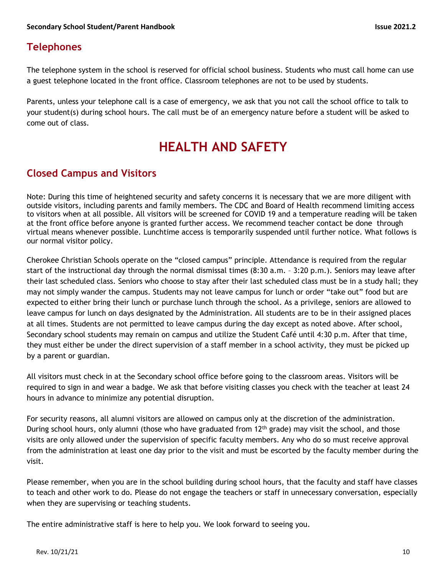## **Telephones**

The telephone system in the school is reserved for official school business. Students who must call home can use a guest telephone located in the front office. Classroom telephones are not to be used by students.

Parents, unless your telephone call is a case of emergency, we ask that you not call the school office to talk to your student(s) during school hours. The call must be of an emergency nature before a student will be asked to come out of class.

## **HEALTH AND SAFETY**

## **Closed Campus and Visitors**

Note: During this time of heightened security and safety concerns it is necessary that we are more diligent with outside visitors, including parents and family members. The CDC and Board of Health recommend limiting access to visitors when at all possible. All visitors will be screened for COVID 19 and a temperature reading will be taken at the front office before anyone is granted further access. We recommend teacher contact be done through virtual means whenever possible. Lunchtime access is temporarily suspended until further notice. What follows is our normal visitor policy.

Cherokee Christian Schools operate on the "closed campus" principle. Attendance is required from the regular start of the instructional day through the normal dismissal times (8:30 a.m. – 3:20 p.m.). Seniors may leave after their last scheduled class. Seniors who choose to stay after their last scheduled class must be in a study hall; they may not simply wander the campus. Students may not leave campus for lunch or order "take out" food but are expected to either bring their lunch or purchase lunch through the school. As a privilege, seniors are allowed to leave campus for lunch on days designated by the Administration. All students are to be in their assigned places at all times. Students are not permitted to leave campus during the day except as noted above. After school, Secondary school students may remain on campus and utilize the Student Café until 4:30 p.m. After that time, they must either be under the direct supervision of a staff member in a school activity, they must be picked up by a parent or guardian.

All visitors must check in at the Secondary school office before going to the classroom areas. Visitors will be required to sign in and wear a badge. We ask that before visiting classes you check with the teacher at least 24 hours in advance to minimize any potential disruption.

For security reasons, all alumni visitors are allowed on campus only at the discretion of the administration. During school hours, only alumni (those who have graduated from 12<sup>th</sup> grade) may visit the school, and those visits are only allowed under the supervision of specific faculty members. Any who do so must receive approval from the administration at least one day prior to the visit and must be escorted by the faculty member during the visit.

Please remember, when you are in the school building during school hours, that the faculty and staff have classes to teach and other work to do. Please do not engage the teachers or staff in unnecessary conversation, especially when they are supervising or teaching students.

The entire administrative staff is here to help you. We look forward to seeing you.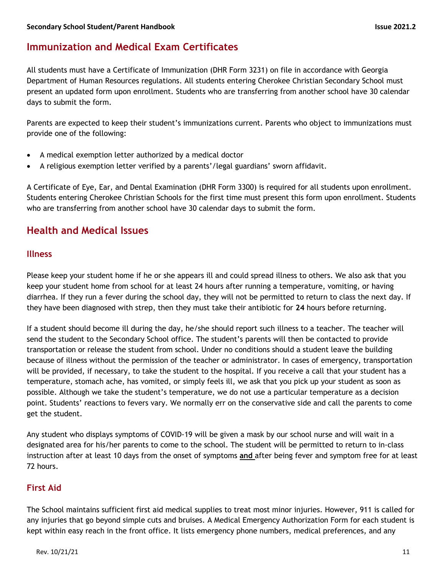## **Immunization and Medical Exam Certificates**

All students must have a Certificate of Immunization (DHR Form 3231) on file in accordance with Georgia Department of Human Resources regulations. All students entering Cherokee Christian Secondary School must present an updated form upon enrollment. Students who are transferring from another school have 30 calendar days to submit the form.

Parents are expected to keep their student's immunizations current. Parents who object to immunizations must provide one of the following:

- A medical exemption letter authorized by a medical doctor
- A religious exemption letter verified by a parents'/legal guardians' sworn affidavit.

A Certificate of Eye, Ear, and Dental Examination (DHR Form 3300) is required for all students upon enrollment. Students entering Cherokee Christian Schools for the first time must present this form upon enrollment. Students who are transferring from another school have 30 calendar days to submit the form.

### **Health and Medical Issues**

#### **Illness**

Please keep your student home if he or she appears ill and could spread illness to others. We also ask that you keep your student home from school for at least 24 hours after running a temperature, vomiting, or having diarrhea. If they run a fever during the school day, they will not be permitted to return to class the next day. If they have been diagnosed with strep, then they must take their antibiotic for **24** hours before returning.

If a student should become ill during the day, he/she should report such illness to a teacher. The teacher will send the student to the Secondary School office. The student's parents will then be contacted to provide transportation or release the student from school. Under no conditions should a student leave the building because of illness without the permission of the teacher or administrator. In cases of emergency, transportation will be provided, if necessary, to take the student to the hospital. If you receive a call that your student has a temperature, stomach ache, has vomited, or simply feels ill, we ask that you pick up your student as soon as possible. Although we take the student's temperature, we do not use a particular temperature as a decision point. Students' reactions to fevers vary. We normally err on the conservative side and call the parents to come get the student.

Any student who displays symptoms of COVID-19 will be given a mask by our school nurse and will wait in a designated area for his/her parents to come to the school. The student will be permitted to return to in-class instruction after at least 10 days from the onset of symptoms **and** after being fever and symptom free for at least 72 hours.

#### **First Aid**

The School maintains sufficient first aid medical supplies to treat most minor injuries. However, 911 is called for any injuries that go beyond simple cuts and bruises. A Medical Emergency Authorization Form for each student is kept within easy reach in the front office. It lists emergency phone numbers, medical preferences, and any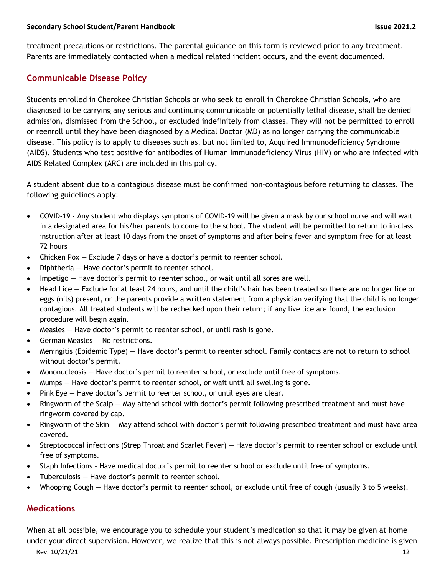treatment precautions or restrictions. The parental guidance on this form is reviewed prior to any treatment. Parents are immediately contacted when a medical related incident occurs, and the event documented.

#### **Communicable Disease Policy**

Students enrolled in Cherokee Christian Schools or who seek to enroll in Cherokee Christian Schools, who are diagnosed to be carrying any serious and continuing communicable or potentially lethal disease, shall be denied admission, dismissed from the School, or excluded indefinitely from classes. They will not be permitted to enroll or reenroll until they have been diagnosed by a Medical Doctor (MD) as no longer carrying the communicable disease. This policy is to apply to diseases such as, but not limited to, Acquired Immunodeficiency Syndrome (AIDS). Students who test positive for antibodies of Human Immunodeficiency Virus (HIV) or who are infected with AIDS Related Complex (ARC) are included in this policy.

A student absent due to a contagious disease must be confirmed non-contagious before returning to classes. The following guidelines apply:

- COVID-19 Any student who displays symptoms of COVID-19 will be given a mask by our school nurse and will wait in a designated area for his/her parents to come to the school. The student will be permitted to return to in-class instruction after at least 10 days from the onset of symptoms and after being fever and symptom free for at least 72 hours
- Chicken Pox Exclude 7 days or have a doctor's permit to reenter school.
- Diphtheria Have doctor's permit to reenter school.
- Impetigo Have doctor's permit to reenter school, or wait until all sores are well.
- Head Lice Exclude for at least 24 hours, and until the child's hair has been treated so there are no longer lice or eggs (nits) present, or the parents provide a written statement from a physician verifying that the child is no longer contagious. All treated students will be rechecked upon their return; if any live lice are found, the exclusion procedure will begin again.
- Measles Have doctor's permit to reenter school, or until rash is gone.
- German Measles No restrictions.
- Meningitis (Epidemic Type) Have doctor's permit to reenter school. Family contacts are not to return to school without doctor's permit.
- Mononucleosis Have doctor's permit to reenter school, or exclude until free of symptoms.
- Mumps Have doctor's permit to reenter school, or wait until all swelling is gone.
- Pink Eye Have doctor's permit to reenter school, or until eyes are clear.
- Ringworm of the Scalp May attend school with doctor's permit following prescribed treatment and must have ringworm covered by cap.
- Ringworm of the Skin May attend school with doctor's permit following prescribed treatment and must have area covered.
- Streptococcal infections (Strep Throat and Scarlet Fever) Have doctor's permit to reenter school or exclude until free of symptoms.
- Staph Infections Have medical doctor's permit to reenter school or exclude until free of symptoms.
- Tuberculosis Have doctor's permit to reenter school.
- Whooping Cough Have doctor's permit to reenter school, or exclude until free of cough (usually 3 to 5 weeks).

#### **Medications**

When at all possible, we encourage you to schedule your student's medication so that it may be given at home under your direct supervision. However, we realize that this is not always possible. Prescription medicine is given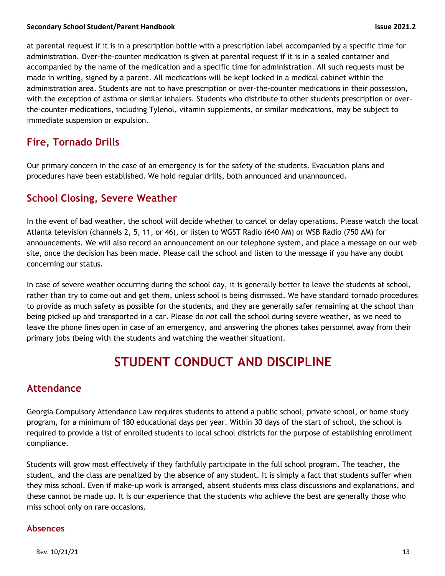at parental request if it is in a prescription bottle with a prescription label accompanied by a specific time for administration. Over-the-counter medication is given at parental request if it is in a sealed container and accompanied by the name of the medication and a specific time for administration. All such requests must be made in writing, signed by a parent. All medications will be kept locked in a medical cabinet within the administration area. Students are not to have prescription or over-the-counter medications in their possession, with the exception of asthma or similar inhalers. Students who distribute to other students prescription or overthe-counter medications, including Tylenol, vitamin supplements, or similar medications, may be subject to immediate suspension or expulsion.

## **Fire, Tornado Drills**

Our primary concern in the case of an emergency is for the safety of the students. Evacuation plans and procedures have been established. We hold regular drills, both announced and unannounced.

## **School Closing, Severe Weather**

In the event of bad weather, the school will decide whether to cancel or delay operations. Please watch the local Atlanta television (channels 2, 5, 11, or 46), or listen to WGST Radio (640 AM) or WSB Radio (750 AM) for announcements. We will also record an announcement on our telephone system, and place a message on our web site, once the decision has been made. Please call the school and listen to the message if you have any doubt concerning our status.

In case of severe weather occurring during the school day, it is generally better to leave the students at school, rather than try to come out and get them, unless school is being dismissed. We have standard tornado procedures to provide as much safety as possible for the students, and they are generally safer remaining at the school than being picked up and transported in a car. Please do *not* call the school during severe weather, as we need to leave the phone lines open in case of an emergency, and answering the phones takes personnel away from their primary jobs (being with the students and watching the weather situation).

## **STUDENT CONDUCT AND DISCIPLINE**

## **Attendance**

Georgia Compulsory Attendance Law requires students to attend a public school, private school, or home study program, for a minimum of 180 educational days per year. Within 30 days of the start of school, the school is required to provide a list of enrolled students to local school districts for the purpose of establishing enrollment compliance.

Students will grow most effectively if they faithfully participate in the full school program. The teacher, the student, and the class are penalized by the absence of any student. It is simply a fact that students suffer when they miss school. Even if make-up work is arranged, absent students miss class discussions and explanations, and these cannot be made up. It is our experience that the students who achieve the best are generally those who miss school only on rare occasions.

#### **Absences**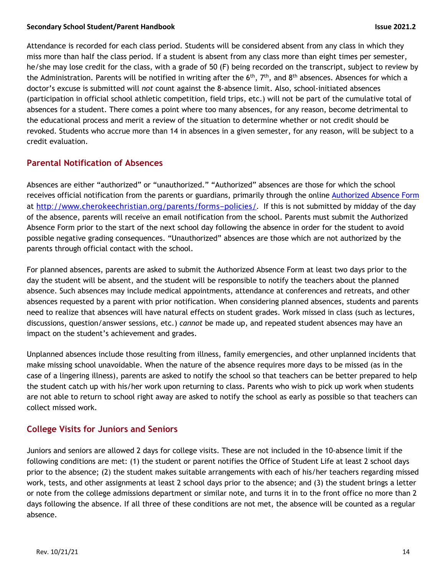Attendance is recorded for each class period. Students will be considered absent from any class in which they miss more than half the class period. If a student is absent from any class more than eight times per semester, he/she may lose credit for the class, with a grade of 50 (F) being recorded on the transcript, subject to review by the Administration. Parents will be notified in writing after the  $6<sup>th</sup>$ , 7<sup>th</sup>, and  $8<sup>th</sup>$  absences. Absences for which a doctor's excuse is submitted will *not* count against the 8-absence limit. Also, school-initiated absences (participation in official school athletic competition, field trips, etc.) will not be part of the cumulative total of absences for a student. There comes a point where too many absences, for any reason, become detrimental to the educational process and merit a review of the situation to determine whether or not credit should be revoked. Students who accrue more than 14 in absences in a given semester, for any reason, will be subject to a credit evaluation.

#### **Parental Notification of Absences**

Absences are either "authorized" or "unauthorized." "Authorized" absences are those for which the school receives official notification from the parents or guardians, primarily through the online Authorized Absence Form at http://www.cherokeechristian.org/parents/forms-policies/. If this is not submitted by midday of the day of the absence, parents will receive an email notification from the school. Parents must submit the Authorized Absence Form prior to the start of the next school day following the absence in order for the student to avoid possible negative grading consequences. "Unauthorized" absences are those which are not authorized by the parents through official contact with the school.

For planned absences, parents are asked to submit the Authorized Absence Form at least two days prior to the day the student will be absent, and the student will be responsible to notify the teachers about the planned absence. Such absences may include medical appointments, attendance at conferences and retreats, and other absences requested by a parent with prior notification. When considering planned absences, students and parents need to realize that absences will have natural effects on student grades. Work missed in class (such as lectures, discussions, question/answer sessions, etc.) *cannot* be made up, and repeated student absences may have an impact on the student's achievement and grades.

Unplanned absences include those resulting from illness, family emergencies, and other unplanned incidents that make missing school unavoidable. When the nature of the absence requires more days to be missed (as in the case of a lingering illness), parents are asked to notify the school so that teachers can be better prepared to help the student catch up with his/her work upon returning to class. Parents who wish to pick up work when students are not able to return to school right away are asked to notify the school as early as possible so that teachers can collect missed work.

#### **College Visits for Juniors and Seniors**

Juniors and seniors are allowed 2 days for college visits. These are not included in the 10-absence limit if the following conditions are met: (1) the student or parent notifies the Office of Student Life at least 2 school days prior to the absence; (2) the student makes suitable arrangements with each of his/her teachers regarding missed work, tests, and other assignments at least 2 school days prior to the absence; and (3) the student brings a letter or note from the college admissions department or similar note, and turns it in to the front office no more than 2 days following the absence. If all three of these conditions are not met, the absence will be counted as a regular absence.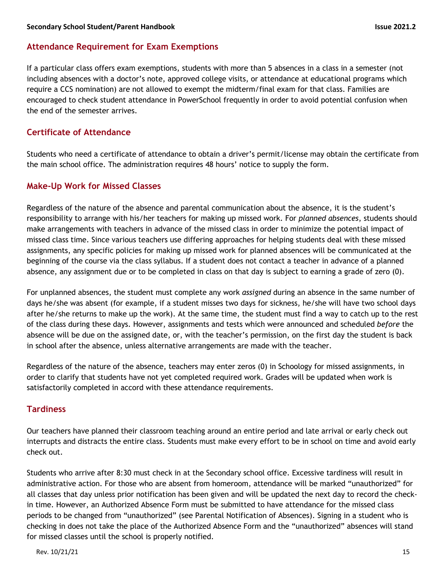#### **Attendance Requirement for Exam Exemptions**

If a particular class offers exam exemptions, students with more than 5 absences in a class in a semester (not including absences with a doctor's note, approved college visits, or attendance at educational programs which require a CCS nomination) are not allowed to exempt the midterm/final exam for that class. Families are encouraged to check student attendance in PowerSchool frequently in order to avoid potential confusion when the end of the semester arrives.

#### **Certificate of Attendance**

Students who need a certificate of attendance to obtain a driver's permit/license may obtain the certificate from the main school office. The administration requires 48 hours' notice to supply the form.

#### **Make-Up Work for Missed Classes**

Regardless of the nature of the absence and parental communication about the absence, it is the student's responsibility to arrange with his/her teachers for making up missed work. For *planned absences*, students should make arrangements with teachers in advance of the missed class in order to minimize the potential impact of missed class time. Since various teachers use differing approaches for helping students deal with these missed assignments, any specific policies for making up missed work for planned absences will be communicated at the beginning of the course via the class syllabus. If a student does not contact a teacher in advance of a planned absence, any assignment due or to be completed in class on that day is subject to earning a grade of zero (0).

For unplanned absences, the student must complete any work *assigned* during an absence in the same number of days he/she was absent (for example, if a student misses two days for sickness, he/she will have two school days after he/she returns to make up the work). At the same time, the student must find a way to catch up to the rest of the class during these days. However, assignments and tests which were announced and scheduled *before* the absence will be due on the assigned date, or, with the teacher's permission, on the first day the student is back in school after the absence, unless alternative arrangements are made with the teacher.

Regardless of the nature of the absence, teachers may enter zeros (0) in Schoology for missed assignments, in order to clarify that students have not yet completed required work. Grades will be updated when work is satisfactorily completed in accord with these attendance requirements.

#### **Tardiness**

Our teachers have planned their classroom teaching around an entire period and late arrival or early check out interrupts and distracts the entire class. Students must make every effort to be in school on time and avoid early check out.

Students who arrive after 8:30 must check in at the Secondary school office. Excessive tardiness will result in administrative action. For those who are absent from homeroom, attendance will be marked "unauthorized" for all classes that day unless prior notification has been given and will be updated the next day to record the checkin time. However, an Authorized Absence Form must be submitted to have attendance for the missed class periods to be changed from "unauthorized" (see Parental Notification of Absences). Signing in a student who is checking in does not take the place of the Authorized Absence Form and the "unauthorized" absences will stand for missed classes until the school is properly notified.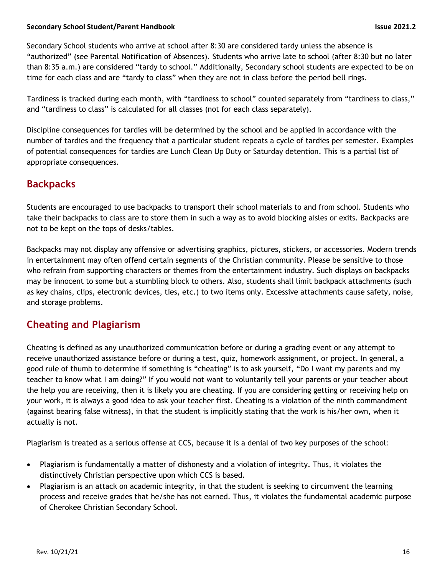Secondary School students who arrive at school after 8:30 are considered tardy unless the absence is "authorized" (see Parental Notification of Absences). Students who arrive late to school (after 8:30 but no later than 8:35 a.m.) are considered "tardy to school." Additionally, Secondary school students are expected to be on time for each class and are "tardy to class" when they are not in class before the period bell rings.

Tardiness is tracked during each month, with "tardiness to school" counted separately from "tardiness to class," and "tardiness to class" is calculated for all classes (not for each class separately).

Discipline consequences for tardies will be determined by the school and be applied in accordance with the number of tardies and the frequency that a particular student repeats a cycle of tardies per semester. Examples of potential consequences for tardies are Lunch Clean Up Duty or Saturday detention. This is a partial list of appropriate consequences.

## **Backpacks**

Students are encouraged to use backpacks to transport their school materials to and from school. Students who take their backpacks to class are to store them in such a way as to avoid blocking aisles or exits. Backpacks are not to be kept on the tops of desks/tables.

Backpacks may not display any offensive or advertising graphics, pictures, stickers, or accessories. Modern trends in entertainment may often offend certain segments of the Christian community. Please be sensitive to those who refrain from supporting characters or themes from the entertainment industry. Such displays on backpacks may be innocent to some but a stumbling block to others. Also, students shall limit backpack attachments (such as key chains, clips, electronic devices, ties, etc.) to two items only. Excessive attachments cause safety, noise, and storage problems.

## **Cheating and Plagiarism**

Cheating is defined as any unauthorized communication before or during a grading event or any attempt to receive unauthorized assistance before or during a test, quiz, homework assignment, or project. In general, a good rule of thumb to determine if something is "cheating" is to ask yourself, "Do I want my parents and my teacher to know what I am doing?" If you would not want to voluntarily tell your parents or your teacher about the help you are receiving, then it is likely you are cheating. If you are considering getting or receiving help on your work, it is always a good idea to ask your teacher first. Cheating is a violation of the ninth commandment (against bearing false witness), in that the student is implicitly stating that the work is his/her own, when it actually is not.

Plagiarism is treated as a serious offense at CCS, because it is a denial of two key purposes of the school:

- Plagiarism is fundamentally a matter of dishonesty and a violation of integrity. Thus, it violates the distinctively Christian perspective upon which CCS is based.
- Plagiarism is an attack on academic integrity, in that the student is seeking to circumvent the learning process and receive grades that he/she has not earned. Thus, it violates the fundamental academic purpose of Cherokee Christian Secondary School.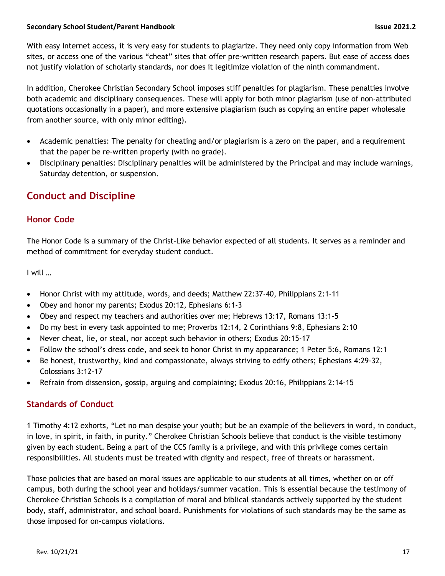With easy Internet access, it is very easy for students to plagiarize. They need only copy information from Web sites, or access one of the various "cheat" sites that offer pre-written research papers. But ease of access does not justify violation of scholarly standards, nor does it legitimize violation of the ninth commandment.

In addition, Cherokee Christian Secondary School imposes stiff penalties for plagiarism. These penalties involve both academic and disciplinary consequences. These will apply for both minor plagiarism (use of non-attributed quotations occasionally in a paper), and more extensive plagiarism (such as copying an entire paper wholesale from another source, with only minor editing).

- Academic penalties: The penalty for cheating and/or plagiarism is a zero on the paper, and a requirement that the paper be re-written properly (with no grade).
- Disciplinary penalties: Disciplinary penalties will be administered by the Principal and may include warnings, Saturday detention, or suspension.

## **Conduct and Discipline**

#### **Honor Code**

The Honor Code is a summary of the Christ-Like behavior expected of all students. It serves as a reminder and method of commitment for everyday student conduct.

I will …

- Honor Christ with my attitude, words, and deeds; Matthew 22:37-40, Philippians 2:1-11
- Obey and honor my parents; Exodus 20:12, Ephesians 6:1-3
- Obey and respect my teachers and authorities over me; Hebrews 13:17, Romans 13:1-5
- Do my best in every task appointed to me; Proverbs 12:14, 2 Corinthians 9:8, Ephesians 2:10
- Never cheat, lie, or steal, nor accept such behavior in others; Exodus 20:15-17
- Follow the school's dress code, and seek to honor Christ in my appearance; 1 Peter 5:6, Romans 12:1
- Be honest, trustworthy, kind and compassionate, always striving to edify others; Ephesians 4:29-32, Colossians 3:12-17
- Refrain from dissension, gossip, arguing and complaining; Exodus 20:16, Philippians 2:14-15

#### **Standards of Conduct**

1 Timothy 4:12 exhorts, "Let no man despise your youth; but be an example of the believers in word, in conduct, in love, in spirit, in faith, in purity." Cherokee Christian Schools believe that conduct is the visible testimony given by each student. Being a part of the CCS family is a privilege, and with this privilege comes certain responsibilities. All students must be treated with dignity and respect, free of threats or harassment.

Those policies that are based on moral issues are applicable to our students at all times, whether on or off campus, both during the school year and holidays/summer vacation. This is essential because the testimony of Cherokee Christian Schools is a compilation of moral and biblical standards actively supported by the student body, staff, administrator, and school board. Punishments for violations of such standards may be the same as those imposed for on-campus violations.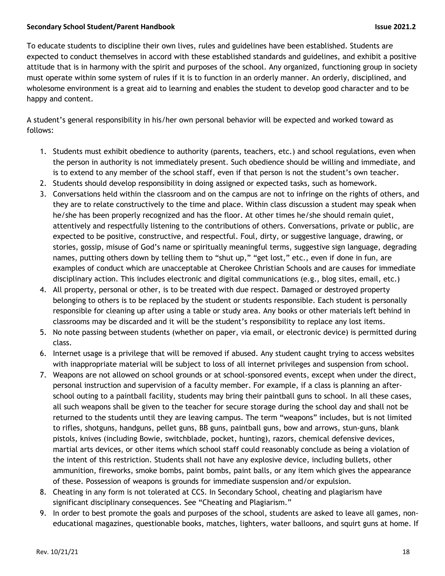To educate students to discipline their own lives, rules and guidelines have been established. Students are expected to conduct themselves in accord with these established standards and guidelines, and exhibit a positive attitude that is in harmony with the spirit and purposes of the school. Any organized, functioning group in society must operate within some system of rules if it is to function in an orderly manner. An orderly, disciplined, and wholesome environment is a great aid to learning and enables the student to develop good character and to be happy and content.

A student's general responsibility in his/her own personal behavior will be expected and worked toward as follows:

- 1. Students must exhibit obedience to authority (parents, teachers, etc.) and school regulations, even when the person in authority is not immediately present. Such obedience should be willing and immediate, and is to extend to any member of the school staff, even if that person is not the student's own teacher.
- 2. Students should develop responsibility in doing assigned or expected tasks, such as homework.
- 3. Conversations held within the classroom and on the campus are not to infringe on the rights of others, and they are to relate constructively to the time and place. Within class discussion a student may speak when he/she has been properly recognized and has the floor. At other times he/she should remain quiet, attentively and respectfully listening to the contributions of others. Conversations, private or public, are expected to be positive, constructive, and respectful. Foul, dirty, or suggestive language, drawing, or stories, gossip, misuse of God's name or spiritually meaningful terms, suggestive sign language, degrading names, putting others down by telling them to "shut up," "get lost," etc., even if done in fun, are examples of conduct which are unacceptable at Cherokee Christian Schools and are causes for immediate disciplinary action. This includes electronic and digital communications (e.g., blog sites, email, etc.)
- 4. All property, personal or other, is to be treated with due respect. Damaged or destroyed property belonging to others is to be replaced by the student or students responsible. Each student is personally responsible for cleaning up after using a table or study area. Any books or other materials left behind in classrooms may be discarded and it will be the student's responsibility to replace any lost items.
- 5. No note passing between students (whether on paper, via email, or electronic device) is permitted during class.
- 6. Internet usage is a privilege that will be removed if abused. Any student caught trying to access websites with inappropriate material will be subject to loss of all internet privileges and suspension from school.
- 7. Weapons are not allowed on school grounds or at school-sponsored events, except when under the direct, personal instruction and supervision of a faculty member. For example, if a class is planning an afterschool outing to a paintball facility, students may bring their paintball guns to school. In all these cases, all such weapons shall be given to the teacher for secure storage during the school day and shall not be returned to the students until they are leaving campus. The term "weapons" includes, but is not limited to rifles, shotguns, handguns, pellet guns, BB guns, paintball guns, bow and arrows, stun-guns, blank pistols, knives (including Bowie, switchblade, pocket, hunting), razors, chemical defensive devices, martial arts devices, or other items which school staff could reasonably conclude as being a violation of the intent of this restriction. Students shall not have any explosive device, including bullets, other ammunition, fireworks, smoke bombs, paint bombs, paint balls, or any item which gives the appearance of these. Possession of weapons is grounds for immediate suspension and/or expulsion.
- 8. Cheating in any form is not tolerated at CCS. In Secondary School, cheating and plagiarism have significant disciplinary consequences. See "Cheating and Plagiarism."
- 9. In order to best promote the goals and purposes of the school, students are asked to leave all games, noneducational magazines, questionable books, matches, lighters, water balloons, and squirt guns at home. If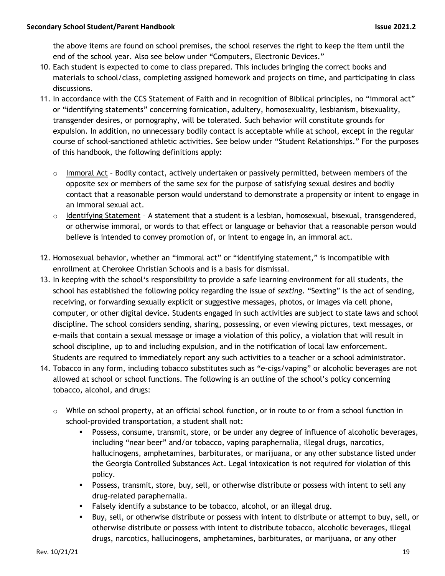the above items are found on school premises, the school reserves the right to keep the item until the end of the school year. Also see below under "Computers, Electronic Devices."

- 10. Each student is expected to come to class prepared. This includes bringing the correct books and materials to school/class, completing assigned homework and projects on time, and participating in class discussions.
- 11. In accordance with the CCS Statement of Faith and in recognition of Biblical principles, no "immoral act" or "identifying statements" concerning fornication, adultery, homosexuality, lesbianism, bisexuality, transgender desires, or pornography, will be tolerated. Such behavior will constitute grounds for expulsion. In addition, no unnecessary bodily contact is acceptable while at school, except in the regular course of school-sanctioned athletic activities. See below under "Student Relationships." For the purposes of this handbook, the following definitions apply:
	- $\circ$  Immoral Act Bodily contact, actively undertaken or passively permitted, between members of the opposite sex or members of the same sex for the purpose of satisfying sexual desires and bodily contact that a reasonable person would understand to demonstrate a propensity or intent to engage in an immoral sexual act.
	- o Identifying Statement A statement that a student is a lesbian, homosexual, bisexual, transgendered, or otherwise immoral, or words to that effect or language or behavior that a reasonable person would believe is intended to convey promotion of, or intent to engage in, an immoral act.
- 12. Homosexual behavior, whether an "immoral act" or "identifying statement," is incompatible with enrollment at Cherokee Christian Schools and is a basis for dismissal.
- 13. In keeping with the school's responsibility to provide a safe learning environment for all students, the school has established the following policy regarding the issue of *sexting*. "Sexting" is the act of sending, receiving, or forwarding sexually explicit or suggestive messages, photos, or images via cell phone, computer, or other digital device. Students engaged in such activities are subject to state laws and school discipline. The school considers sending, sharing, possessing, or even viewing pictures, text messages, or e-mails that contain a sexual message or image a violation of this policy, a violation that will result in school discipline, up to and including expulsion, and in the notification of local law enforcement. Students are required to immediately report any such activities to a teacher or a school administrator.
- 14. Tobacco in any form, including tobacco substitutes such as "e-cigs/vaping" or alcoholic beverages are not allowed at school or school functions. The following is an outline of the school's policy concerning tobacco, alcohol, and drugs:
	- o While on school property, at an official school function, or in route to or from a school function in school-provided transportation, a student shall not:
		- **•** Possess, consume, transmit, store, or be under any degree of influence of alcoholic beverages, including "near beer" and/or tobacco, vaping paraphernalia, illegal drugs, narcotics, hallucinogens, amphetamines, barbiturates, or marijuana, or any other substance listed under the Georgia Controlled Substances Act. Legal intoxication is not required for violation of this policy.
		- § Possess, transmit, store, buy, sell, or otherwise distribute or possess with intent to sell any drug-related paraphernalia.
		- **•** Falsely identify a substance to be tobacco, alcohol, or an illegal drug.
		- § Buy, sell, or otherwise distribute or possess with intent to distribute or attempt to buy, sell, or otherwise distribute or possess with intent to distribute tobacco, alcoholic beverages, illegal drugs, narcotics, hallucinogens, amphetamines, barbiturates, or marijuana, or any other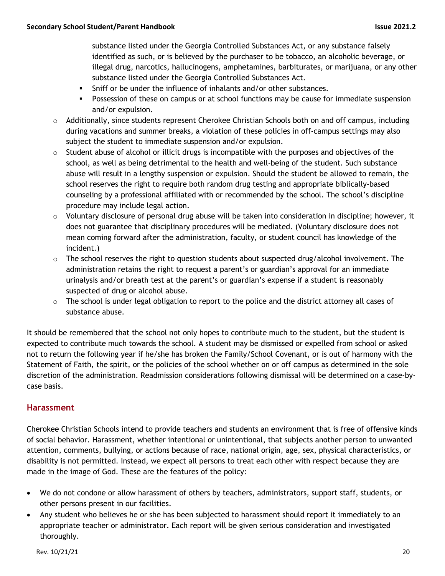substance listed under the Georgia Controlled Substances Act, or any substance falsely identified as such, or is believed by the purchaser to be tobacco, an alcoholic beverage, or illegal drug, narcotics, hallucinogens, amphetamines, barbiturates, or marijuana, or any other substance listed under the Georgia Controlled Substances Act.

- § Sniff or be under the influence of inhalants and/or other substances.
- **•** Possession of these on campus or at school functions may be cause for immediate suspension and/or expulsion.
- $\circ$  Additionally, since students represent Cherokee Christian Schools both on and off campus, including during vacations and summer breaks, a violation of these policies in off-campus settings may also subject the student to immediate suspension and/or expulsion.
- $\circ$  Student abuse of alcohol or illicit drugs is incompatible with the purposes and objectives of the school, as well as being detrimental to the health and well-being of the student. Such substance abuse will result in a lengthy suspension or expulsion. Should the student be allowed to remain, the school reserves the right to require both random drug testing and appropriate biblically-based counseling by a professional affiliated with or recommended by the school. The school's discipline procedure may include legal action.
- $\circ$  Voluntary disclosure of personal drug abuse will be taken into consideration in discipline; however, it does not guarantee that disciplinary procedures will be mediated. (Voluntary disclosure does not mean coming forward after the administration, faculty, or student council has knowledge of the incident.)
- $\circ$  The school reserves the right to question students about suspected drug/alcohol involvement. The administration retains the right to request a parent's or guardian's approval for an immediate urinalysis and/or breath test at the parent's or guardian's expense if a student is reasonably suspected of drug or alcohol abuse.
- $\circ$  The school is under legal obligation to report to the police and the district attorney all cases of substance abuse.

It should be remembered that the school not only hopes to contribute much to the student, but the student is expected to contribute much towards the school. A student may be dismissed or expelled from school or asked not to return the following year if he/she has broken the Family/School Covenant, or is out of harmony with the Statement of Faith, the spirit, or the policies of the school whether on or off campus as determined in the sole discretion of the administration. Readmission considerations following dismissal will be determined on a case-bycase basis.

#### **Harassment**

Cherokee Christian Schools intend to provide teachers and students an environment that is free of offensive kinds of social behavior. Harassment, whether intentional or unintentional, that subjects another person to unwanted attention, comments, bullying, or actions because of race, national origin, age, sex, physical characteristics, or disability is not permitted. Instead, we expect all persons to treat each other with respect because they are made in the image of God. These are the features of the policy:

- We do not condone or allow harassment of others by teachers, administrators, support staff, students, or other persons present in our facilities.
- Any student who believes he or she has been subjected to harassment should report it immediately to an appropriate teacher or administrator. Each report will be given serious consideration and investigated thoroughly.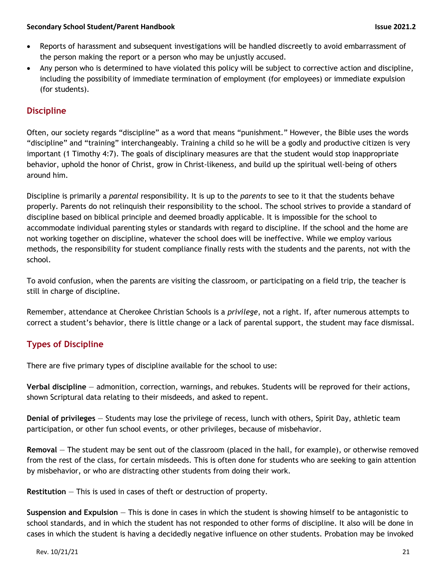- Reports of harassment and subsequent investigations will be handled discreetly to avoid embarrassment of the person making the report or a person who may be unjustly accused.
- Any person who is determined to have violated this policy will be subject to corrective action and discipline, including the possibility of immediate termination of employment (for employees) or immediate expulsion (for students).

### **Discipline**

Often, our society regards "discipline" as a word that means "punishment." However, the Bible uses the words "discipline" and "training" interchangeably. Training a child so he will be a godly and productive citizen is very important (1 Timothy 4:7). The goals of disciplinary measures are that the student would stop inappropriate behavior, uphold the honor of Christ, grow in Christ-likeness, and build up the spiritual well-being of others around him.

Discipline is primarily a *parental* responsibility. It is up to the *parents* to see to it that the students behave properly. Parents do not relinquish their responsibility to the school. The school strives to provide a standard of discipline based on biblical principle and deemed broadly applicable. It is impossible for the school to accommodate individual parenting styles or standards with regard to discipline. If the school and the home are not working together on discipline, whatever the school does will be ineffective. While we employ various methods, the responsibility for student compliance finally rests with the students and the parents, not with the school.

To avoid confusion, when the parents are visiting the classroom, or participating on a field trip, the teacher is still in charge of discipline.

Remember, attendance at Cherokee Christian Schools is a *privilege*, not a right. If, after numerous attempts to correct a student's behavior, there is little change or a lack of parental support, the student may face dismissal.

## **Types of Discipline**

There are five primary types of discipline available for the school to use:

**Verbal discipline** — admonition, correction, warnings, and rebukes. Students will be reproved for their actions, shown Scriptural data relating to their misdeeds, and asked to repent.

**Denial of privileges** — Students may lose the privilege of recess, lunch with others, Spirit Day, athletic team participation, or other fun school events, or other privileges, because of misbehavior.

**Removal** — The student may be sent out of the classroom (placed in the hall, for example), or otherwise removed from the rest of the class, for certain misdeeds. This is often done for students who are seeking to gain attention by misbehavior, or who are distracting other students from doing their work.

**Restitution** — This is used in cases of theft or destruction of property.

**Suspension and Expulsion** — This is done in cases in which the student is showing himself to be antagonistic to school standards, and in which the student has not responded to other forms of discipline. It also will be done in cases in which the student is having a decidedly negative influence on other students. Probation may be invoked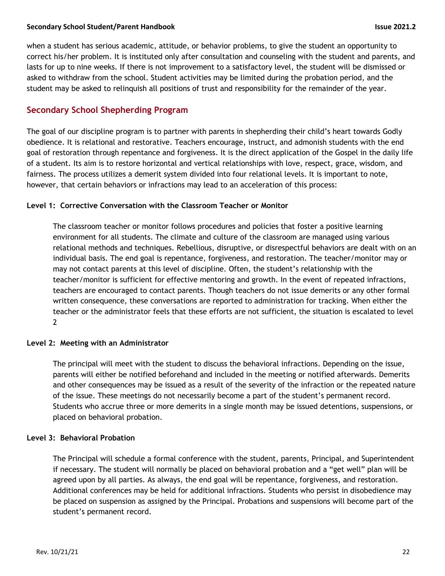when a student has serious academic, attitude, or behavior problems, to give the student an opportunity to correct his/her problem. It is instituted only after consultation and counseling with the student and parents, and lasts for up to nine weeks. If there is not improvement to a satisfactory level, the student will be dismissed or asked to withdraw from the school. Student activities may be limited during the probation period, and the student may be asked to relinquish all positions of trust and responsibility for the remainder of the year.

#### **Secondary School Shepherding Program**

The goal of our discipline program is to partner with parents in shepherding their child's heart towards Godly obedience. It is relational and restorative. Teachers encourage, instruct, and admonish students with the end goal of restoration through repentance and forgiveness. It is the direct application of the Gospel in the daily life of a student. Its aim is to restore horizontal and vertical relationships with love, respect, grace, wisdom, and fairness. The process utilizes a demerit system divided into four relational levels. It is important to note, however, that certain behaviors or infractions may lead to an acceleration of this process:

#### **Level 1: Corrective Conversation with the Classroom Teacher or Monitor**

The classroom teacher or monitor follows procedures and policies that foster a positive learning environment for all students. The climate and culture of the classroom are managed using various relational methods and techniques. Rebellious, disruptive, or disrespectful behaviors are dealt with on an individual basis. The end goal is repentance, forgiveness, and restoration. The teacher/monitor may or may not contact parents at this level of discipline. Often, the student's relationship with the teacher/monitor is sufficient for effective mentoring and growth. In the event of repeated infractions, teachers are encouraged to contact parents. Though teachers do not issue demerits or any other formal written consequence, these conversations are reported to administration for tracking. When either the teacher or the administrator feels that these efforts are not sufficient, the situation is escalated to level 2

#### **Level 2: Meeting with an Administrator**

The principal will meet with the student to discuss the behavioral infractions. Depending on the issue, parents will either be notified beforehand and included in the meeting or notified afterwards. Demerits and other consequences may be issued as a result of the severity of the infraction or the repeated nature of the issue. These meetings do not necessarily become a part of the student's permanent record. Students who accrue three or more demerits in a single month may be issued detentions, suspensions, or placed on behavioral probation.

#### **Level 3: Behavioral Probation**

The Principal will schedule a formal conference with the student, parents, Principal, and Superintendent if necessary. The student will normally be placed on behavioral probation and a "get well" plan will be agreed upon by all parties. As always, the end goal will be repentance, forgiveness, and restoration. Additional conferences may be held for additional infractions. Students who persist in disobedience may be placed on suspension as assigned by the Principal. Probations and suspensions will become part of the student's permanent record.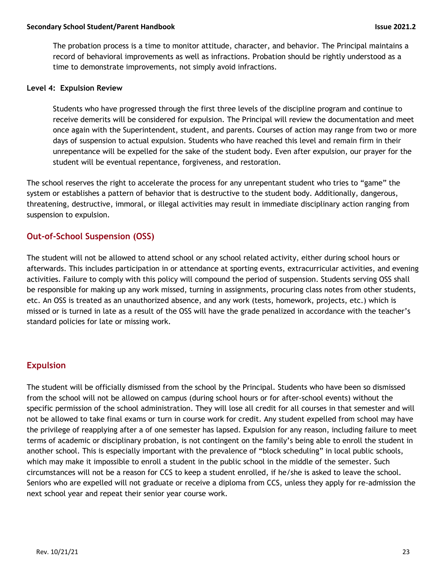The probation process is a time to monitor attitude, character, and behavior. The Principal maintains a record of behavioral improvements as well as infractions. Probation should be rightly understood as a time to demonstrate improvements, not simply avoid infractions.

#### **Level 4: Expulsion Review**

Students who have progressed through the first three levels of the discipline program and continue to receive demerits will be considered for expulsion. The Principal will review the documentation and meet once again with the Superintendent, student, and parents. Courses of action may range from two or more days of suspension to actual expulsion. Students who have reached this level and remain firm in their unrepentance will be expelled for the sake of the student body. Even after expulsion, our prayer for the student will be eventual repentance, forgiveness, and restoration.

The school reserves the right to accelerate the process for any unrepentant student who tries to "game" the system or establishes a pattern of behavior that is destructive to the student body. Additionally, dangerous, threatening, destructive, immoral, or illegal activities may result in immediate disciplinary action ranging from suspension to expulsion.

#### **Out-of-School Suspension (OSS)**

The student will not be allowed to attend school or any school related activity, either during school hours or afterwards. This includes participation in or attendance at sporting events, extracurricular activities, and evening activities. Failure to comply with this policy will compound the period of suspension. Students serving OSS shall be responsible for making up any work missed, turning in assignments, procuring class notes from other students, etc. An OSS is treated as an unauthorized absence, and any work (tests, homework, projects, etc.) which is missed or is turned in late as a result of the OSS will have the grade penalized in accordance with the teacher's standard policies for late or missing work.

#### **Expulsion**

The student will be officially dismissed from the school by the Principal. Students who have been so dismissed from the school will not be allowed on campus (during school hours or for after-school events) without the specific permission of the school administration. They will lose all credit for all courses in that semester and will not be allowed to take final exams or turn in course work for credit. Any student expelled from school may have the privilege of reapplying after a of one semester has lapsed. Expulsion for any reason, including failure to meet terms of academic or disciplinary probation, is not contingent on the family's being able to enroll the student in another school. This is especially important with the prevalence of "block scheduling" in local public schools, which may make it impossible to enroll a student in the public school in the middle of the semester. Such circumstances will not be a reason for CCS to keep a student enrolled, if he/she is asked to leave the school. Seniors who are expelled will not graduate or receive a diploma from CCS, unless they apply for re-admission the next school year and repeat their senior year course work.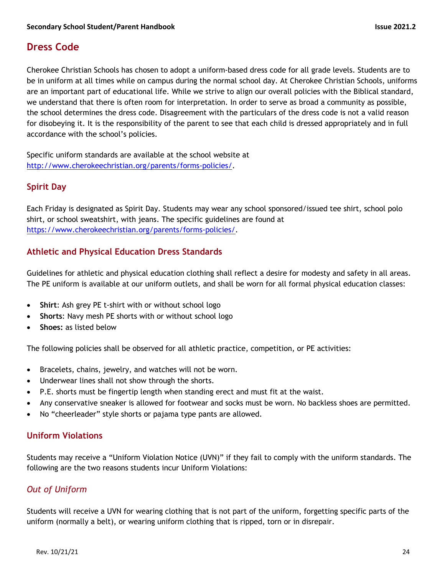## **Dress Code**

Cherokee Christian Schools has chosen to adopt a uniform-based dress code for all grade levels. Students are to be in uniform at all times while on campus during the normal school day. At Cherokee Christian Schools, uniforms are an important part of educational life. While we strive to align our overall policies with the Biblical standard, we understand that there is often room for interpretation. In order to serve as broad a community as possible, the school determines the dress code. Disagreement with the particulars of the dress code is not a valid reason for disobeying it. It is the responsibility of the parent to see that each child is dressed appropriately and in full accordance with the school's policies.

Specific uniform standards are available at the school website at http://www.cherokeechristian.org/parents/forms-policies/.

#### **Spirit Day**

Each Friday is designated as Spirit Day. Students may wear any school sponsored/issued tee shirt, school polo shirt, or school sweatshirt, with jeans. The specific guidelines are found at https://www.cherokeechristian.org/parents/forms-policies/.

#### **Athletic and Physical Education Dress Standards**

Guidelines for athletic and physical education clothing shall reflect a desire for modesty and safety in all areas. The PE uniform is available at our uniform outlets, and shall be worn for all formal physical education classes:

- **Shirt**: Ash grey PE t-shirt with or without school logo
- **Shorts**: Navy mesh PE shorts with or without school logo
- **Shoes:** as listed below

The following policies shall be observed for all athletic practice, competition, or PE activities:

- Bracelets, chains, jewelry, and watches will not be worn.
- Underwear lines shall not show through the shorts.
- P.E. shorts must be fingertip length when standing erect and must fit at the waist.
- Any conservative sneaker is allowed for footwear and socks must be worn. No backless shoes are permitted.
- No "cheerleader" style shorts or pajama type pants are allowed.

#### **Uniform Violations**

Students may receive a "Uniform Violation Notice (UVN)" if they fail to comply with the uniform standards. The following are the two reasons students incur Uniform Violations:

#### *Out of Uniform*

Students will receive a UVN for wearing clothing that is not part of the uniform, forgetting specific parts of the uniform (normally a belt), or wearing uniform clothing that is ripped, torn or in disrepair.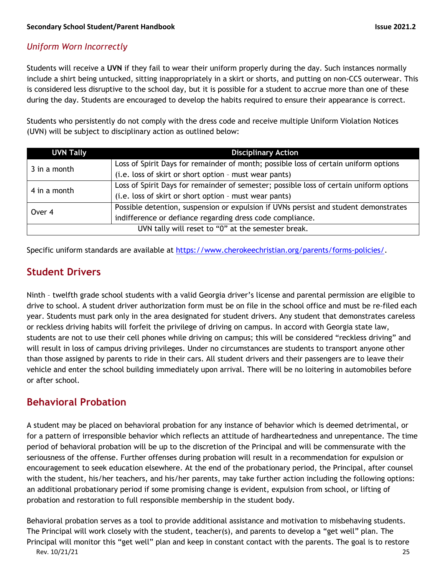#### *Uniform Worn Incorrectly*

Students will receive a **UVN** if they fail to wear their uniform properly during the day. Such instances normally include a shirt being untucked, sitting inappropriately in a skirt or shorts, and putting on non-CCS outerwear. This is considered less disruptive to the school day, but it is possible for a student to accrue more than one of these during the day. Students are encouraged to develop the habits required to ensure their appearance is correct.

Students who persistently do not comply with the dress code and receive multiple Uniform Violation Notices (UVN) will be subject to disciplinary action as outlined below:

| <b>UVN Tally</b>                                   | <b>Disciplinary Action</b>                                                              |  |
|----------------------------------------------------|-----------------------------------------------------------------------------------------|--|
| 3 in a month                                       | Loss of Spirit Days for remainder of month; possible loss of certain uniform options    |  |
|                                                    | (i.e. loss of skirt or short option - must wear pants)                                  |  |
| 4 in a month                                       | Loss of Spirit Days for remainder of semester; possible loss of certain uniform options |  |
|                                                    | (i.e. loss of skirt or short option - must wear pants)                                  |  |
| Over 4                                             | Possible detention, suspension or expulsion if UVNs persist and student demonstrates    |  |
|                                                    | indifference or defiance regarding dress code compliance.                               |  |
| UVN tally will reset to "0" at the semester break. |                                                                                         |  |

Specific uniform standards are available at https://www.cherokeechristian.org/parents/forms-policies/.

## **Student Drivers**

Ninth – twelfth grade school students with a valid Georgia driver's license and parental permission are eligible to drive to school. A student driver authorization form must be on file in the school office and must be re-filed each year. Students must park only in the area designated for student drivers. Any student that demonstrates careless or reckless driving habits will forfeit the privilege of driving on campus. In accord with Georgia state law, students are not to use their cell phones while driving on campus; this will be considered "reckless driving" and will result in loss of campus driving privileges. Under no circumstances are students to transport anyone other than those assigned by parents to ride in their cars. All student drivers and their passengers are to leave their vehicle and enter the school building immediately upon arrival. There will be no loitering in automobiles before or after school.

## **Behavioral Probation**

A student may be placed on behavioral probation for any instance of behavior which is deemed detrimental, or for a pattern of irresponsible behavior which reflects an attitude of hardheartedness and unrepentance. The time period of behavioral probation will be up to the discretion of the Principal and will be commensurate with the seriousness of the offense. Further offenses during probation will result in a recommendation for expulsion or encouragement to seek education elsewhere. At the end of the probationary period, the Principal, after counsel with the student, his/her teachers, and his/her parents, may take further action including the following options: an additional probationary period if some promising change is evident, expulsion from school, or lifting of probation and restoration to full responsible membership in the student body.

Rev. 10/21/21 25 Behavioral probation serves as a tool to provide additional assistance and motivation to misbehaving students. The Principal will work closely with the student, teacher(s), and parents to develop a "get well" plan. The Principal will monitor this "get well" plan and keep in constant contact with the parents. The goal is to restore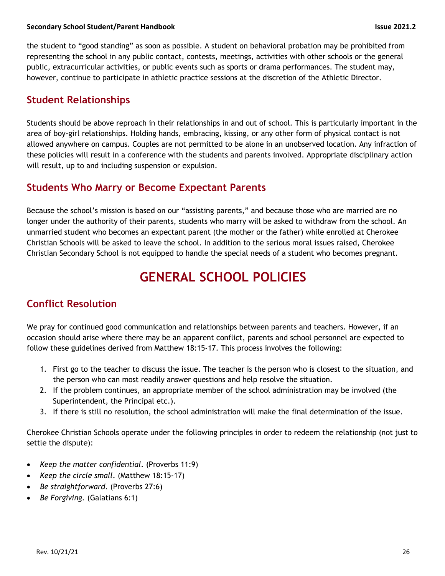the student to "good standing" as soon as possible. A student on behavioral probation may be prohibited from representing the school in any public contact, contests, meetings, activities with other schools or the general public, extracurricular activities, or public events such as sports or drama performances. The student may, however, continue to participate in athletic practice sessions at the discretion of the Athletic Director.

## **Student Relationships**

Students should be above reproach in their relationships in and out of school. This is particularly important in the area of boy-girl relationships. Holding hands, embracing, kissing, or any other form of physical contact is not allowed anywhere on campus. Couples are not permitted to be alone in an unobserved location. Any infraction of these policies will result in a conference with the students and parents involved. Appropriate disciplinary action will result, up to and including suspension or expulsion.

## **Students Who Marry or Become Expectant Parents**

Because the school's mission is based on our "assisting parents," and because those who are married are no longer under the authority of their parents, students who marry will be asked to withdraw from the school. An unmarried student who becomes an expectant parent (the mother or the father) while enrolled at Cherokee Christian Schools will be asked to leave the school. In addition to the serious moral issues raised, Cherokee Christian Secondary School is not equipped to handle the special needs of a student who becomes pregnant.

## **GENERAL SCHOOL POLICIES**

## **Conflict Resolution**

We pray for continued good communication and relationships between parents and teachers. However, if an occasion should arise where there may be an apparent conflict, parents and school personnel are expected to follow these guidelines derived from Matthew 18:15-17. This process involves the following:

- 1. First go to the teacher to discuss the issue. The teacher is the person who is closest to the situation, and the person who can most readily answer questions and help resolve the situation.
- 2. If the problem continues, an appropriate member of the school administration may be involved (the Superintendent, the Principal etc.).
- 3. If there is still no resolution, the school administration will make the final determination of the issue.

Cherokee Christian Schools operate under the following principles in order to redeem the relationship (not just to settle the dispute):

- *Keep the matter confidential*. (Proverbs 11:9)
- *Keep the circle small*. (Matthew 18:15-17)
- *Be straightforward*. (Proverbs 27:6)
- *Be Forgiving.* (Galatians 6:1)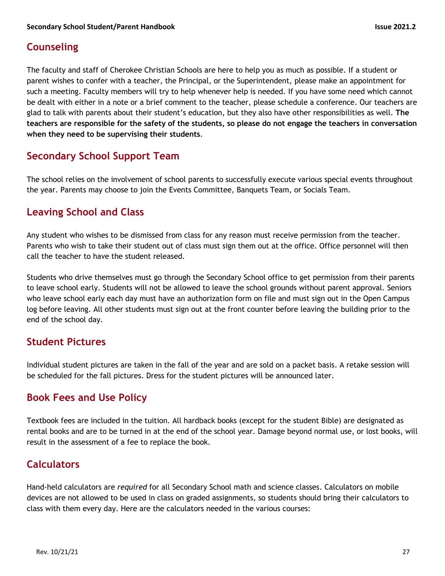## **Counseling**

The faculty and staff of Cherokee Christian Schools are here to help you as much as possible. If a student or parent wishes to confer with a teacher, the Principal, or the Superintendent, please make an appointment for such a meeting. Faculty members will try to help whenever help is needed. If you have some need which cannot be dealt with either in a note or a brief comment to the teacher, please schedule a conference. Our teachers are glad to talk with parents about their student's education, but they also have other responsibilities as well. **The teachers are responsible for the safety of the students, so please do not engage the teachers in conversation when they need to be supervising their students**.

## **Secondary School Support Team**

The school relies on the involvement of school parents to successfully execute various special events throughout the year. Parents may choose to join the Events Committee, Banquets Team, or Socials Team.

## **Leaving School and Class**

Any student who wishes to be dismissed from class for any reason must receive permission from the teacher. Parents who wish to take their student out of class must sign them out at the office. Office personnel will then call the teacher to have the student released.

Students who drive themselves must go through the Secondary School office to get permission from their parents to leave school early. Students will not be allowed to leave the school grounds without parent approval. Seniors who leave school early each day must have an authorization form on file and must sign out in the Open Campus log before leaving. All other students must sign out at the front counter before leaving the building prior to the end of the school day.

## **Student Pictures**

Individual student pictures are taken in the fall of the year and are sold on a packet basis. A retake session will be scheduled for the fall pictures. Dress for the student pictures will be announced later.

## **Book Fees and Use Policy**

Textbook fees are included in the tuition. All hardback books (except for the student Bible) are designated as rental books and are to be turned in at the end of the school year. Damage beyond normal use, or lost books, will result in the assessment of a fee to replace the book.

## **Calculators**

Hand-held calculators are *required* for all Secondary School math and science classes. Calculators on mobile devices are not allowed to be used in class on graded assignments, so students should bring their calculators to class with them every day. Here are the calculators needed in the various courses: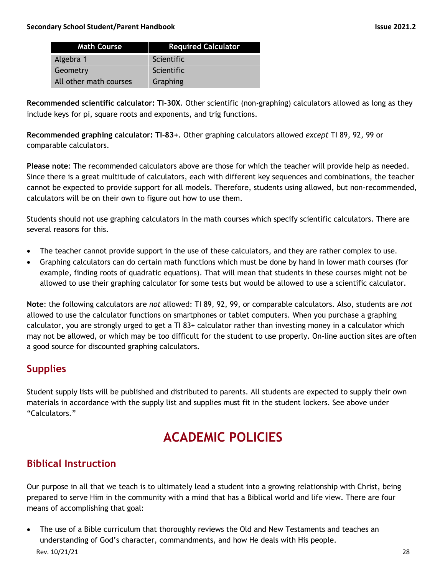| <b>Math Course</b>     | <b>Required Calculator</b> |
|------------------------|----------------------------|
| Algebra 1              | Scientific                 |
| Geometry               | Scientific                 |
| All other math courses | Graphing                   |

**Recommended scientific calculator: TI-30X**. Other scientific (non-graphing) calculators allowed as long as they include keys for pi, square roots and exponents, and trig functions.

**Recommended graphing calculator: TI-83+**. Other graphing calculators allowed *except* TI 89, 92, 99 or comparable calculators.

**Please note**: The recommended calculators above are those for which the teacher will provide help as needed. Since there is a great multitude of calculators, each with different key sequences and combinations, the teacher cannot be expected to provide support for all models. Therefore, students using allowed, but non-recommended, calculators will be on their own to figure out how to use them.

Students should not use graphing calculators in the math courses which specify scientific calculators. There are several reasons for this.

- The teacher cannot provide support in the use of these calculators, and they are rather complex to use.
- Graphing calculators can do certain math functions which must be done by hand in lower math courses (for example, finding roots of quadratic equations). That will mean that students in these courses might not be allowed to use their graphing calculator for some tests but would be allowed to use a scientific calculator.

**Note**: the following calculators are *not* allowed: TI 89, 92, 99, or comparable calculators. Also, students are *not* allowed to use the calculator functions on smartphones or tablet computers. When you purchase a graphing calculator, you are strongly urged to get a TI 83+ calculator rather than investing money in a calculator which may not be allowed, or which may be too difficult for the student to use properly. On-line auction sites are often a good source for discounted graphing calculators.

## **Supplies**

Student supply lists will be published and distributed to parents. All students are expected to supply their own materials in accordance with the supply list and supplies must fit in the student lockers. See above under "Calculators."

## **ACADEMIC POLICIES**

## **Biblical Instruction**

Our purpose in all that we teach is to ultimately lead a student into a growing relationship with Christ, being prepared to serve Him in the community with a mind that has a Biblical world and life view. There are four means of accomplishing that goal:

Rev. 10/21/21 28 • The use of a Bible curriculum that thoroughly reviews the Old and New Testaments and teaches an understanding of God's character, commandments, and how He deals with His people.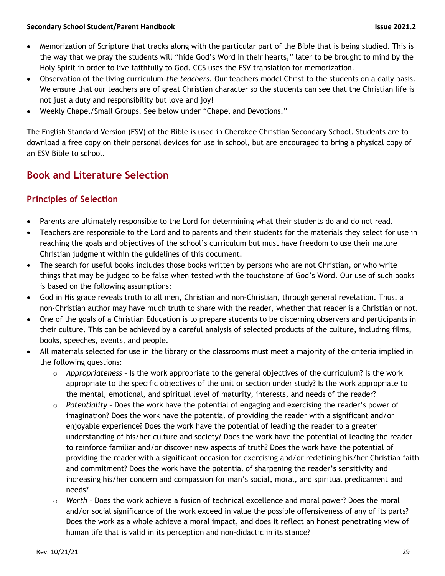- Memorization of Scripture that tracks along with the particular part of the Bible that is being studied. This is the way that we pray the students will "hide God's Word in their hearts," later to be brought to mind by the Holy Spirit in order to live faithfully to God. CCS uses the ESV translation for memorization.
- Observation of the living curriculum-*the teachers*. Our teachers model Christ to the students on a daily basis. We ensure that our teachers are of great Christian character so the students can see that the Christian life is not just a duty and responsibility but love and joy!
- Weekly Chapel/Small Groups. See below under "Chapel and Devotions."

The English Standard Version (ESV) of the Bible is used in Cherokee Christian Secondary School. Students are to download a free copy on their personal devices for use in school, but are encouraged to bring a physical copy of an ESV Bible to school.

## **Book and Literature Selection**

### **Principles of Selection**

- Parents are ultimately responsible to the Lord for determining what their students do and do not read.
- Teachers are responsible to the Lord and to parents and their students for the materials they select for use in reaching the goals and objectives of the school's curriculum but must have freedom to use their mature Christian judgment within the guidelines of this document.
- The search for useful books includes those books written by persons who are not Christian, or who write things that may be judged to be false when tested with the touchstone of God's Word. Our use of such books is based on the following assumptions:
- God in His grace reveals truth to all men, Christian and non-Christian, through general revelation. Thus, a non-Christian author may have much truth to share with the reader, whether that reader is a Christian or not.
- One of the goals of a Christian Education is to prepare students to be discerning observers and participants in their culture. This can be achieved by a careful analysis of selected products of the culture, including films, books, speeches, events, and people.
- All materials selected for use in the library or the classrooms must meet a majority of the criteria implied in the following questions:
	- o *Appropriateness* Is the work appropriate to the general objectives of the curriculum? Is the work appropriate to the specific objectives of the unit or section under study? Is the work appropriate to the mental, emotional, and spiritual level of maturity, interests, and needs of the reader?
	- o *Potentiality* Does the work have the potential of engaging and exercising the reader's power of imagination? Does the work have the potential of providing the reader with a significant and/or enjoyable experience? Does the work have the potential of leading the reader to a greater understanding of his/her culture and society? Does the work have the potential of leading the reader to reinforce familiar and/or discover new aspects of truth? Does the work have the potential of providing the reader with a significant occasion for exercising and/or redefining his/her Christian faith and commitment? Does the work have the potential of sharpening the reader's sensitivity and increasing his/her concern and compassion for man's social, moral, and spiritual predicament and needs?
	- o *Worth* Does the work achieve a fusion of technical excellence and moral power? Does the moral and/or social significance of the work exceed in value the possible offensiveness of any of its parts? Does the work as a whole achieve a moral impact, and does it reflect an honest penetrating view of human life that is valid in its perception and non-didactic in its stance?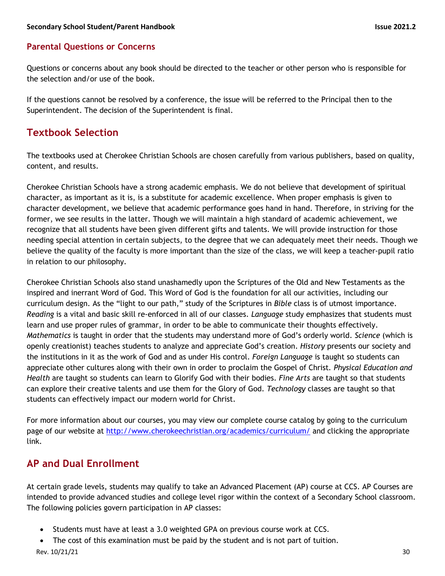#### **Parental Questions or Concerns**

Questions or concerns about any book should be directed to the teacher or other person who is responsible for the selection and/or use of the book.

If the questions cannot be resolved by a conference, the issue will be referred to the Principal then to the Superintendent. The decision of the Superintendent is final.

## **Textbook Selection**

The textbooks used at Cherokee Christian Schools are chosen carefully from various publishers, based on quality, content, and results.

Cherokee Christian Schools have a strong academic emphasis. We do not believe that development of spiritual character, as important as it is, is a substitute for academic excellence. When proper emphasis is given to character development, we believe that academic performance goes hand in hand. Therefore, in striving for the former, we see results in the latter. Though we will maintain a high standard of academic achievement, we recognize that all students have been given different gifts and talents. We will provide instruction for those needing special attention in certain subjects, to the degree that we can adequately meet their needs. Though we believe the quality of the faculty is more important than the size of the class, we will keep a teacher-pupil ratio in relation to our philosophy.

Cherokee Christian Schools also stand unashamedly upon the Scriptures of the Old and New Testaments as the inspired and inerrant Word of God. This Word of God is the foundation for all our activities, including our curriculum design. As the "light to our path," study of the Scriptures in *Bible* class is of utmost importance. *Reading* is a vital and basic skill re-enforced in all of our classes. *Language* study emphasizes that students must learn and use proper rules of grammar, in order to be able to communicate their thoughts effectively. *Mathematics* is taught in order that the students may understand more of God's orderly world. *Science* (which is openly creationist) teaches students to analyze and appreciate God's creation. *History* presents our society and the institutions in it as the work of God and as under His control. *Foreign Language* is taught so students can appreciate other cultures along with their own in order to proclaim the Gospel of Christ*. Physical Education and Health* are taught so students can learn to Glorify God with their bodies. *Fine Arts* are taught so that students can explore their creative talents and use them for the Glory of God. *Technology* classes are taught so that students can effectively impact our modern world for Christ.

For more information about our courses, you may view our complete course catalog by going to the curriculum page of our website at http://www.cherokeechristian.org/academics/curriculum/ and clicking the appropriate link.

## **AP and Dual Enrollment**

At certain grade levels, students may qualify to take an Advanced Placement (AP) course at CCS. AP Courses are intended to provide advanced studies and college level rigor within the context of a Secondary School classroom. The following policies govern participation in AP classes:

- Students must have at least a 3.0 weighted GPA on previous course work at CCS.
- The cost of this examination must be paid by the student and is not part of tuition.

Rev. 10/21/21 30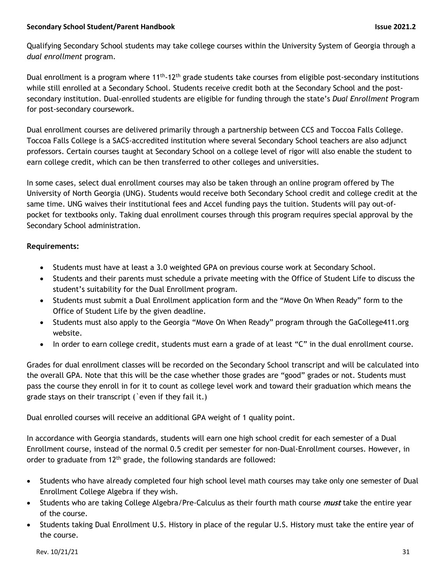Qualifying Secondary School students may take college courses within the University System of Georgia through a *dual enrollment* program.

Dual enrollment is a program where  $11^{th} \cdot 12^{th}$  grade students take courses from eligible post-secondary institutions while still enrolled at a Secondary School. Students receive credit both at the Secondary School and the postsecondary institution. Dual-enrolled students are eligible for funding through the state's *Dual Enrollment* Program for post-secondary coursework.

Dual enrollment courses are delivered primarily through a partnership between CCS and Toccoa Falls College. Toccoa Falls College is a SACS-accredited institution where several Secondary School teachers are also adjunct professors. Certain courses taught at Secondary School on a college level of rigor will also enable the student to earn college credit, which can be then transferred to other colleges and universities.

In some cases, select dual enrollment courses may also be taken through an online program offered by The University of North Georgia (UNG). Students would receive both Secondary School credit and college credit at the same time. UNG waives their institutional fees and Accel funding pays the tuition. Students will pay out-ofpocket for textbooks only. Taking dual enrollment courses through this program requires special approval by the Secondary School administration.

#### **Requirements:**

- Students must have at least a 3.0 weighted GPA on previous course work at Secondary School.
- Students and their parents must schedule a private meeting with the Office of Student Life to discuss the student's suitability for the Dual Enrollment program.
- Students must submit a Dual Enrollment application form and the "Move On When Ready" form to the Office of Student Life by the given deadline.
- Students must also apply to the Georgia "Move On When Ready" program through the GaCollege411.org website.
- In order to earn college credit, students must earn a grade of at least "C" in the dual enrollment course.

Grades for dual enrollment classes will be recorded on the Secondary School transcript and will be calculated into the overall GPA. Note that this will be the case whether those grades are "good" grades or not. Students must pass the course they enroll in for it to count as college level work and toward their graduation which means the grade stays on their transcript (`even if they fail it.)

Dual enrolled courses will receive an additional GPA weight of 1 quality point.

In accordance with Georgia standards, students will earn one high school credit for each semester of a Dual Enrollment course, instead of the normal 0.5 credit per semester for non-Dual-Enrollment courses. However, in order to graduate from 12<sup>th</sup> grade, the following standards are followed:

- Students who have already completed four high school level math courses may take only one semester of Dual Enrollment College Algebra if they wish.
- Students who are taking College Algebra/Pre-Calculus as their fourth math course **must** take the entire year of the course.
- Students taking Dual Enrollment U.S. History in place of the regular U.S. History must take the entire year of the course.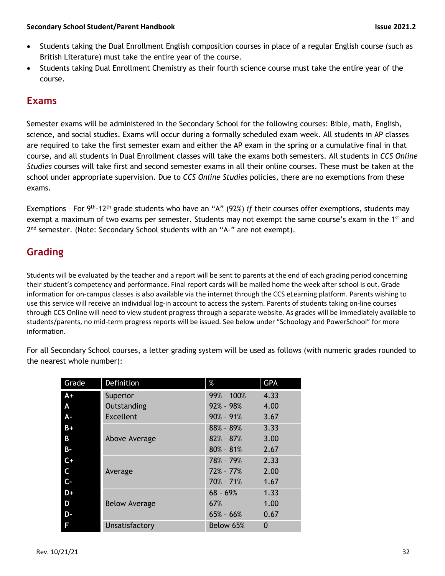- Students taking the Dual Enrollment English composition courses in place of a regular English course (such as British Literature) must take the entire year of the course.
- Students taking Dual Enrollment Chemistry as their fourth science course must take the entire year of the course.

## **Exams**

Semester exams will be administered in the Secondary School for the following courses: Bible, math, English, science, and social studies. Exams will occur during a formally scheduled exam week. All students in AP classes are required to take the first semester exam and either the AP exam in the spring or a cumulative final in that course, and all students in Dual Enrollment classes will take the exams both semesters. All students in *CCS Online Studies* courses will take first and second semester exams in all their online courses. These must be taken at the school under appropriate supervision. Due to *CCS Online Studies* policies, there are no exemptions from these exams.

Exemptions – For 9th-12th grade students who have an "A" (92%) *if* their courses offer exemptions, students may exempt a maximum of two exams per semester. Students may not exempt the same course's exam in the 1<sup>st</sup> and  $2<sup>nd</sup>$  semester. (Note: Secondary School students with an "A-" are not exempt).

## **Grading**

Students will be evaluated by the teacher and a report will be sent to parents at the end of each grading period concerning their student's competency and performance. Final report cards will be mailed home the week after school is out. Grade information for on-campus classes is also available via the internet through the CCS eLearning platform. Parents wishing to use this service will receive an individual log-in account to access the system. Parents of students taking on-line courses through CCS Online will need to view student progress through a separate website. As grades will be immediately available to students/parents, no mid-term progress reports will be issued. See below under "Schoology and PowerSchool" for more information.

For all Secondary School courses, a letter grading system will be used as follows (with numeric grades rounded to the nearest whole number):

| Grade     | Definition           | $\%$          | <b>GPA</b> |
|-----------|----------------------|---------------|------------|
| $A+$      | Superior             | 99% - 100%    | 4.33       |
| A         | Outstanding          | $92\% - 98\%$ | 4.00       |
| A-        | <b>Excellent</b>     | $90\% - 91\%$ | 3.67       |
| $B+$      |                      | $88\% - 89\%$ | 3.33       |
| B         | Above Average        | $82\% - 87\%$ | 3.00       |
| <b>B-</b> |                      | $80\% - 81\%$ | 2.67       |
| $C +$     |                      | 78% - 79%     | 2.33       |
| C         | Average              | $72\% - 77\%$ | 2.00       |
| $C -$     |                      | $70\% - 71\%$ | 1.67       |
| D+        |                      | $68 - 69%$    | 1.33       |
| D         | <b>Below Average</b> | 67%           | 1.00       |
| D-        |                      | $65\% - 66\%$ | 0.67       |
| F         | Unsatisfactory       | Below 65%     | 0          |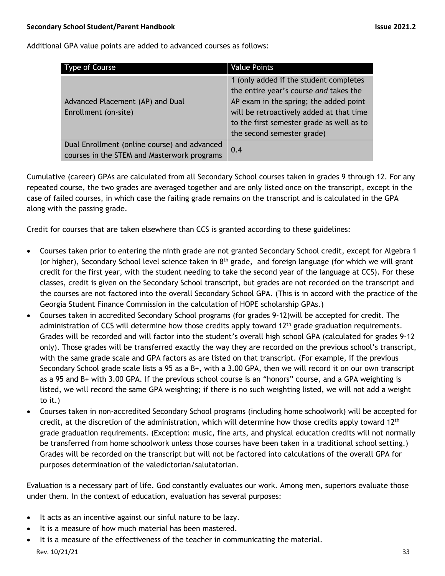Additional GPA value points are added to advanced courses as follows:

| <b>Type of Course</b>                                                                       | <b>Value Points</b>                                                                                                                                                                                                                               |
|---------------------------------------------------------------------------------------------|---------------------------------------------------------------------------------------------------------------------------------------------------------------------------------------------------------------------------------------------------|
| Advanced Placement (AP) and Dual<br>Enrollment (on-site)                                    | 1 (only added if the student completes<br>the entire year's course and takes the<br>AP exam in the spring; the added point<br>will be retroactively added at that time<br>to the first semester grade as well as to<br>the second semester grade) |
| Dual Enrollment (online course) and advanced<br>courses in the STEM and Masterwork programs | 0.4                                                                                                                                                                                                                                               |

Cumulative (career) GPAs are calculated from all Secondary School courses taken in grades 9 through 12. For any repeated course, the two grades are averaged together and are only listed once on the transcript, except in the case of failed courses, in which case the failing grade remains on the transcript and is calculated in the GPA along with the passing grade.

Credit for courses that are taken elsewhere than CCS is granted according to these guidelines:

- Courses taken prior to entering the ninth grade are not granted Secondary School credit, except for Algebra 1 (or higher), Secondary School level science taken in  $8<sup>th</sup>$  grade, and foreign language (for which we will grant credit for the first year, with the student needing to take the second year of the language at CCS). For these classes, credit is given on the Secondary School transcript, but grades are not recorded on the transcript and the courses are not factored into the overall Secondary School GPA. (This is in accord with the practice of the Georgia Student Finance Commission in the calculation of HOPE scholarship GPAs.)
- Courses taken in accredited Secondary School programs (for grades 9-12)will be accepted for credit. The administration of CCS will determine how those credits apply toward  $12<sup>th</sup>$  grade graduation requirements. Grades will be recorded and will factor into the student's overall high school GPA (calculated for grades 9-12 only). Those grades will be transferred exactly the way they are recorded on the previous school's transcript, with the same grade scale and GPA factors as are listed on that transcript. (For example, if the previous Secondary School grade scale lists a 95 as a B+, with a 3.00 GPA, then we will record it on our own transcript as a 95 and B+ with 3.00 GPA. If the previous school course is an "honors" course, and a GPA weighting is listed, we will record the same GPA weighting; if there is no such weighting listed, we will not add a weight to it.)
- Courses taken in non-accredited Secondary School programs (including home schoolwork) will be accepted for credit, at the discretion of the administration, which will determine how those credits apply toward  $12<sup>th</sup>$ grade graduation requirements. (Exception: music, fine arts, and physical education credits will not normally be transferred from home schoolwork unless those courses have been taken in a traditional school setting.) Grades will be recorded on the transcript but will not be factored into calculations of the overall GPA for purposes determination of the valedictorian/salutatorian.

Evaluation is a necessary part of life. God constantly evaluates our work. Among men, superiors evaluate those under them. In the context of education, evaluation has several purposes:

- It acts as an incentive against our sinful nature to be lazy.
- It is a measure of how much material has been mastered.
- Rev. 10/21/21 33 It is a measure of the effectiveness of the teacher in communicating the material.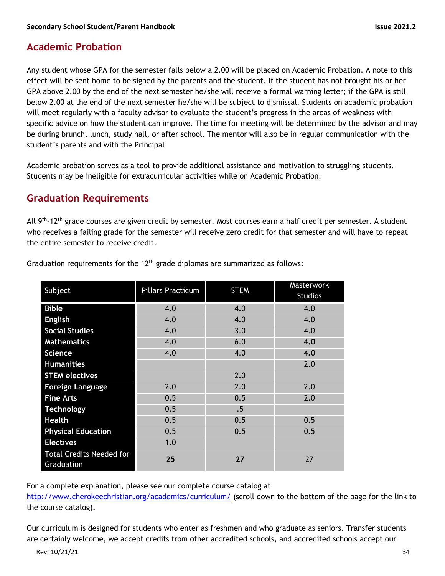## **Academic Probation**

Any student whose GPA for the semester falls below a 2.00 will be placed on Academic Probation. A note to this effect will be sent home to be signed by the parents and the student. If the student has not brought his or her GPA above 2.00 by the end of the next semester he/she will receive a formal warning letter; if the GPA is still below 2.00 at the end of the next semester he/she will be subject to dismissal. Students on academic probation will meet regularly with a faculty advisor to evaluate the student's progress in the areas of weakness with specific advice on how the student can improve. The time for meeting will be determined by the advisor and may be during brunch, lunch, study hall, or after school. The mentor will also be in regular communication with the student's parents and with the Principal

Academic probation serves as a tool to provide additional assistance and motivation to struggling students. Students may be ineligible for extracurricular activities while on Academic Probation.

## **Graduation Requirements**

All 9<sup>th</sup>-12<sup>th</sup> grade courses are given credit by semester. Most courses earn a half credit per semester. A student who receives a failing grade for the semester will receive zero credit for that semester and will have to repeat the entire semester to receive credit.

| Subject                                       | <b>Pillars Practicum</b> | <b>STEM</b> | Masterwork<br><b>Studios</b> |
|-----------------------------------------------|--------------------------|-------------|------------------------------|
| <b>Bible</b>                                  | 4.0                      | 4.0         | 4.0                          |
| <b>English</b>                                | 4.0                      | 4.0         | 4.0                          |
| <b>Social Studies</b>                         | 4.0                      | 3.0         | 4.0                          |
| <b>Mathematics</b>                            | 4.0                      | 6.0         | 4.0                          |
| <b>Science</b>                                | 4.0                      | 4.0         | 4.0                          |
| <b>Humanities</b>                             |                          |             | 2.0                          |
| <b>STEM electives</b>                         |                          | 2.0         |                              |
| <b>Foreign Language</b>                       | 2.0                      | 2.0         | 2.0                          |
| <b>Fine Arts</b>                              | 0.5                      | 0.5         | 2.0                          |
| <b>Technology</b>                             | 0.5                      | .5          |                              |
| <b>Health</b>                                 | 0.5                      | 0.5         | 0.5                          |
| <b>Physical Education</b>                     | 0.5                      | 0.5         | 0.5                          |
| <b>Electives</b>                              | 1.0                      |             |                              |
| <b>Total Credits Needed for</b><br>Graduation | 25                       | 27          | 27                           |

Graduation requirements for the  $12<sup>th</sup>$  grade diplomas are summarized as follows:

For a complete explanation, please see our complete course catalog at

http://www.cherokeechristian.org/academics/curriculum/ (scroll down to the bottom of the page for the link to the course catalog).

Our curriculum is designed for students who enter as freshmen and who graduate as seniors. Transfer students are certainly welcome, we accept credits from other accredited schools, and accredited schools accept our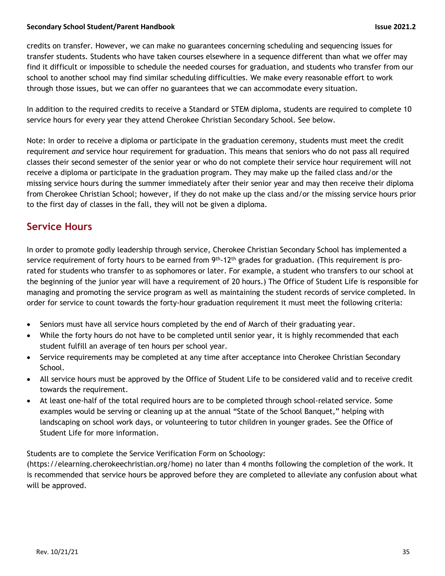credits on transfer. However, we can make no guarantees concerning scheduling and sequencing issues for transfer students. Students who have taken courses elsewhere in a sequence different than what we offer may find it difficult or impossible to schedule the needed courses for graduation, and students who transfer from our school to another school may find similar scheduling difficulties. We make every reasonable effort to work through those issues, but we can offer no guarantees that we can accommodate every situation.

In addition to the required credits to receive a Standard or STEM diploma, students are required to complete 10 service hours for every year they attend Cherokee Christian Secondary School. See below.

Note: In order to receive a diploma or participate in the graduation ceremony, students must meet the credit requirement *and* service hour requirement for graduation. This means that seniors who do not pass all required classes their second semester of the senior year or who do not complete their service hour requirement will not receive a diploma or participate in the graduation program. They may make up the failed class and/or the missing service hours during the summer immediately after their senior year and may then receive their diploma from Cherokee Christian School; however, if they do not make up the class and/or the missing service hours prior to the first day of classes in the fall, they will not be given a diploma.

## **Service Hours**

In order to promote godly leadership through service, Cherokee Christian Secondary School has implemented a service requirement of forty hours to be earned from 9<sup>th</sup>-12<sup>th</sup> grades for graduation. (This requirement is prorated for students who transfer to as sophomores or later. For example, a student who transfers to our school at the beginning of the junior year will have a requirement of 20 hours.) The Office of Student Life is responsible for managing and promoting the service program as well as maintaining the student records of service completed. In order for service to count towards the forty-hour graduation requirement it must meet the following criteria:

- Seniors must have all service hours completed by the end of March of their graduating year.
- While the forty hours do not have to be completed until senior year, it is highly recommended that each student fulfill an average of ten hours per school year.
- Service requirements may be completed at any time after acceptance into Cherokee Christian Secondary School.
- All service hours must be approved by the Office of Student Life to be considered valid and to receive credit towards the requirement.
- At least one-half of the total required hours are to be completed through school-related service. Some examples would be serving or cleaning up at the annual "State of the School Banquet," helping with landscaping on school work days, or volunteering to tutor children in younger grades. See the Office of Student Life for more information.

Students are to complete the Service Verification Form on Schoology:

(https://elearning.cherokeechristian.org/home) no later than 4 months following the completion of the work. It is recommended that service hours be approved before they are completed to alleviate any confusion about what will be approved.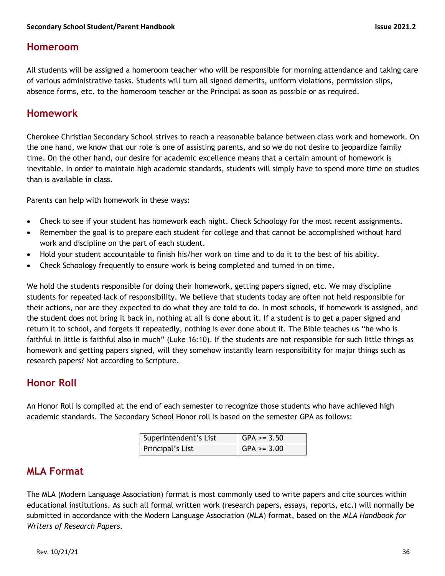## **Homeroom**

All students will be assigned a homeroom teacher who will be responsible for morning attendance and taking care of various administrative tasks. Students will turn all signed demerits, uniform violations, permission slips, absence forms, etc. to the homeroom teacher or the Principal as soon as possible or as required.

## **Homework**

Cherokee Christian Secondary School strives to reach a reasonable balance between class work and homework. On the one hand, we know that our role is one of assisting parents, and so we do not desire to jeopardize family time. On the other hand, our desire for academic excellence means that a certain amount of homework is inevitable. In order to maintain high academic standards, students will simply have to spend more time on studies than is available in class.

Parents can help with homework in these ways:

- Check to see if your student has homework each night. Check Schoology for the most recent assignments.
- Remember the goal is to prepare each student for college and that cannot be accomplished without hard work and discipline on the part of each student.
- Hold your student accountable to finish his/her work on time and to do it to the best of his ability.
- Check Schoology frequently to ensure work is being completed and turned in on time.

We hold the students responsible for doing their homework, getting papers signed, etc. We may discipline students for repeated lack of responsibility. We believe that students today are often not held responsible for their actions, nor are they expected to do what they are told to do. In most schools, if homework is assigned, and the student does not bring it back in, nothing at all is done about it. If a student is to get a paper signed and return it to school, and forgets it repeatedly, nothing is ever done about it. The Bible teaches us "he who is faithful in little is faithful also in much" (Luke 16:10). If the students are not responsible for such little things as homework and getting papers signed, will they somehow instantly learn responsibility for major things such as research papers? Not according to Scripture.

## **Honor Roll**

An Honor Roll is compiled at the end of each semester to recognize those students who have achieved high academic standards. The Secondary School Honor roll is based on the semester GPA as follows:

| Superintendent's List | $\vert$ GPA >= 3.50 |
|-----------------------|---------------------|
| Principal's List      | $\vert$ GPA >= 3.00 |

## **MLA Format**

The MLA (Modern Language Association) format is most commonly used to write papers and cite sources within educational institutions. As such all formal written work (research papers, essays, reports, etc.) will normally be submitted in accordance with the Modern Language Association (MLA) format, based on the *MLA Handbook for Writers of Research Papers*.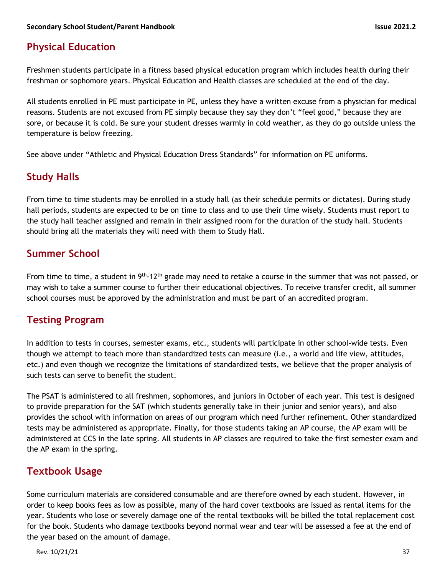## **Physical Education**

Freshmen students participate in a fitness based physical education program which includes health during their freshman or sophomore years. Physical Education and Health classes are scheduled at the end of the day.

All students enrolled in PE must participate in PE, unless they have a written excuse from a physician for medical reasons. Students are not excused from PE simply because they say they don't "feel good," because they are sore, or because it is cold. Be sure your student dresses warmly in cold weather, as they do go outside unless the temperature is below freezing.

See above under "Athletic and Physical Education Dress Standards" for information on PE uniforms.

## **Study Halls**

From time to time students may be enrolled in a study hall (as their schedule permits or dictates). During study hall periods, students are expected to be on time to class and to use their time wisely. Students must report to the study hall teacher assigned and remain in their assigned room for the duration of the study hall. Students should bring all the materials they will need with them to Study Hall.

## **Summer School**

From time to time, a student in  $9<sup>th</sup>$ -12<sup>th</sup> grade may need to retake a course in the summer that was not passed, or may wish to take a summer course to further their educational objectives. To receive transfer credit, all summer school courses must be approved by the administration and must be part of an accredited program.

## **Testing Program**

In addition to tests in courses, semester exams, etc., students will participate in other school-wide tests. Even though we attempt to teach more than standardized tests can measure (i.e., a world and life view, attitudes, etc.) and even though we recognize the limitations of standardized tests, we believe that the proper analysis of such tests can serve to benefit the student.

The PSAT is administered to all freshmen, sophomores, and juniors in October of each year. This test is designed to provide preparation for the SAT (which students generally take in their junior and senior years), and also provides the school with information on areas of our program which need further refinement. Other standardized tests may be administered as appropriate. Finally, for those students taking an AP course, the AP exam will be administered at CCS in the late spring. All students in AP classes are required to take the first semester exam and the AP exam in the spring.

## **Textbook Usage**

Some curriculum materials are considered consumable and are therefore owned by each student. However, in order to keep books fees as low as possible, many of the hard cover textbooks are issued as rental items for the year. Students who lose or severely damage one of the rental textbooks will be billed the total replacement cost for the book. Students who damage textbooks beyond normal wear and tear will be assessed a fee at the end of the year based on the amount of damage.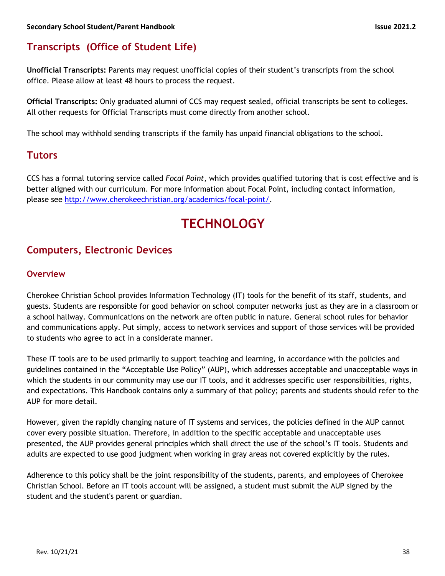## **Transcripts (Office of Student Life)**

**Unofficial Transcripts:** Parents may request unofficial copies of their student's transcripts from the school office. Please allow at least 48 hours to process the request.

**Official Transcripts:** Only graduated alumni of CCS may request sealed, official transcripts be sent to colleges. All other requests for Official Transcripts must come directly from another school.

The school may withhold sending transcripts if the family has unpaid financial obligations to the school.

## **Tutors**

CCS has a formal tutoring service called *Focal Point,* which provides qualified tutoring that is cost effective and is better aligned with our curriculum. For more information about Focal Point, including contact information, please see http://www.cherokeechristian.org/academics/focal-point/.

## **TECHNOLOGY**

## **Computers, Electronic Devices**

#### **Overview**

Cherokee Christian School provides Information Technology (IT) tools for the benefit of its staff, students, and guests. Students are responsible for good behavior on school computer networks just as they are in a classroom or a school hallway. Communications on the network are often public in nature. General school rules for behavior and communications apply. Put simply, access to network services and support of those services will be provided to students who agree to act in a considerate manner.

These IT tools are to be used primarily to support teaching and learning, in accordance with the policies and guidelines contained in the "Acceptable Use Policy" (AUP), which addresses acceptable and unacceptable ways in which the students in our community may use our IT tools, and it addresses specific user responsibilities, rights, and expectations. This Handbook contains only a summary of that policy; parents and students should refer to the AUP for more detail.

However, given the rapidly changing nature of IT systems and services, the policies defined in the AUP cannot cover every possible situation. Therefore, in addition to the specific acceptable and unacceptable uses presented, the AUP provides general principles which shall direct the use of the school's IT tools. Students and adults are expected to use good judgment when working in gray areas not covered explicitly by the rules.

Adherence to this policy shall be the joint responsibility of the students, parents, and employees of Cherokee Christian School. Before an IT tools account will be assigned, a student must submit the AUP signed by the student and the student's parent or guardian.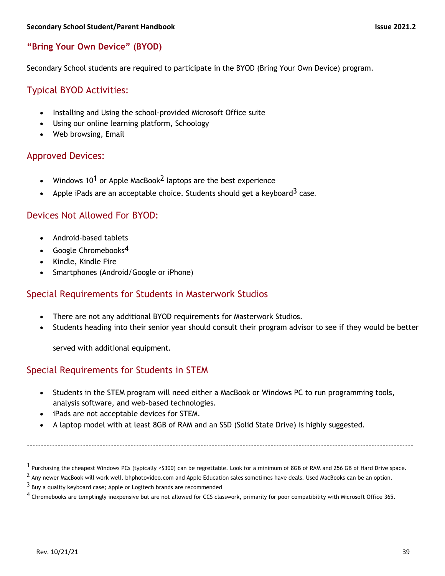#### **"Bring Your Own Device" (BYOD)**

Secondary School students are required to participate in the BYOD (Bring Your Own Device) program.

### Typical BYOD Activities:

- Installing and Using the school-provided Microsoft Office suite
- Using our online learning platform, Schoology
- Web browsing, Email

#### Approved Devices:

- Windows 10<sup>1</sup> or Apple MacBook<sup>2</sup> laptops are the best experience
- Apple iPads are an acceptable choice. Students should get a keyboard<sup>3</sup> case.

#### Devices Not Allowed For BYOD:

- Android-based tablets
- Google Chromebooks $4$
- Kindle, Kindle Fire
- Smartphones (Android/Google or iPhone)

#### Special Requirements for Students in Masterwork Studios

- There are not any additional BYOD requirements for Masterwork Studios.
- Students heading into their senior year should consult their program advisor to see if they would be better

served with additional equipment.

#### Special Requirements for Students in STEM

- Students in the STEM program will need either a MacBook or Windows PC to run programming tools, analysis software, and web-based technologies.
- iPads are not acceptable devices for STEM.
- A laptop model with at least 8GB of RAM and an SSD (Solid State Drive) is highly suggested.

------------------------------------------------------------------------------------------------------------------------------------------

<sup>&</sup>lt;sup>1</sup> Purchasing the cheapest Windows PCs (typically <\$300) can be regrettable. Look for a minimum of 8GB of RAM and 256 GB of Hard Drive space.

<sup>&</sup>lt;sup>2</sup> Any newer MacBook will work well. bhphotovideo.com and Apple Education sales sometimes have deals. Used MacBooks can be an option.

 $3$  Buy a quality keyboard case; Apple or Logitech brands are recommended

<sup>&</sup>lt;sup>4</sup> Chromebooks are temptingly inexpensive but are not allowed for CCS classwork, primarily for poor compatibility with Microsoft Office 365.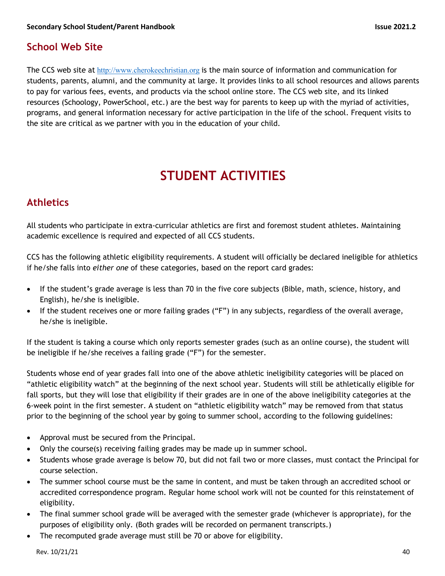## **School Web Site**

The CCS web site at http://www.cherokeechristian.org is the main source of information and communication for students, parents, alumni, and the community at large. It provides links to all school resources and allows parents to pay for various fees, events, and products via the school online store. The CCS web site, and its linked resources (Schoology, PowerSchool, etc.) are the best way for parents to keep up with the myriad of activities, programs, and general information necessary for active participation in the life of the school. Frequent visits to the site are critical as we partner with you in the education of your child.

## **STUDENT ACTIVITIES**

## **Athletics**

All students who participate in extra-curricular athletics are first and foremost student athletes. Maintaining academic excellence is required and expected of all CCS students.

CCS has the following athletic eligibility requirements. A student will officially be declared ineligible for athletics if he/she falls into *either one* of these categories, based on the report card grades:

- If the student's grade average is less than 70 in the five core subjects (Bible, math, science, history, and English), he/she is ineligible.
- If the student receives one or more failing grades ("F") in any subjects, regardless of the overall average, he/she is ineligible.

If the student is taking a course which only reports semester grades (such as an online course), the student will be ineligible if he/she receives a failing grade ("F") for the semester.

Students whose end of year grades fall into one of the above athletic ineligibility categories will be placed on "athletic eligibility watch" at the beginning of the next school year. Students will still be athletically eligible for fall sports, but they will lose that eligibility if their grades are in one of the above ineligibility categories at the 6-week point in the first semester. A student on "athletic eligibility watch" may be removed from that status prior to the beginning of the school year by going to summer school, according to the following guidelines:

- Approval must be secured from the Principal.
- Only the course(s) receiving failing grades may be made up in summer school.
- Students whose grade average is below 70, but did not fail two or more classes, must contact the Principal for course selection.
- The summer school course must be the same in content, and must be taken through an accredited school or accredited correspondence program. Regular home school work will not be counted for this reinstatement of eligibility.
- The final summer school grade will be averaged with the semester grade (whichever is appropriate), for the purposes of eligibility only. (Both grades will be recorded on permanent transcripts.)
- The recomputed grade average must still be 70 or above for eligibility.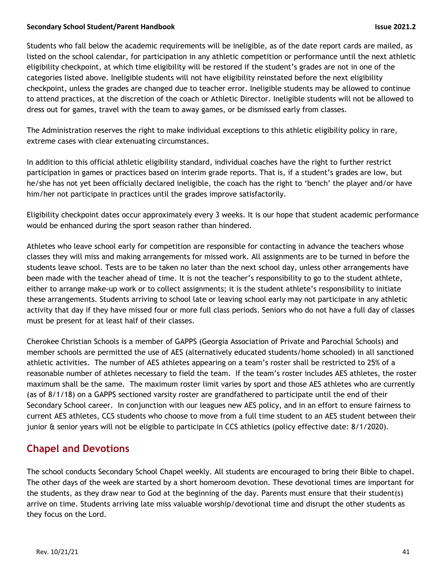Students who fall below the academic requirements will be ineligible, as of the date report cards are mailed, as listed on the school calendar, for participation in any athletic competition or performance until the next athletic eligibility checkpoint, at which time eligibility will be restored if the student's grades are not in one of the categories listed above. Ineligible students will not have eligibility reinstated before the next eligibility checkpoint, unless the grades are changed due to teacher error. Ineligible students may be allowed to continue to attend practices, at the discretion of the coach or Athletic Director. Ineligible students will not be allowed to dress out for games, travel with the team to away games, or be dismissed early from classes.

The Administration reserves the right to make individual exceptions to this athletic eligibility policy in rare, extreme cases with clear extenuating circumstances.

In addition to this official athletic eligibility standard, individual coaches have the right to further restrict participation in games or practices based on interim grade reports. That is, if a student's grades are low, but he/she has not yet been officially declared ineligible, the coach has the right to 'bench' the player and/or have him/her not participate in practices until the grades improve satisfactorily.

Eligibility checkpoint dates occur approximately every 3 weeks. It is our hope that student academic performance would be enhanced during the sport season rather than hindered.

Athletes who leave school early for competition are responsible for contacting in advance the teachers whose classes they will miss and making arrangements for missed work. All assignments are to be turned in before the students leave school. Tests are to be taken no later than the next school day, unless other arrangements have been made with the teacher ahead of time. It is not the teacher's responsibility to go to the student athlete, either to arrange make-up work or to collect assignments; it is the student athlete's responsibility to initiate these arrangements. Students arriving to school late or leaving school early may not participate in any athletic activity that day if they have missed four or more full class periods. Seniors who do not have a full day of classes must be present for at least half of their classes.

Cherokee Christian Schools is a member of GAPPS (Georgia Association of Private and Parochial Schools) and member schools are permitted the use of AES (alternatively educated students/home schooled) in all sanctioned athletic activities. The number of AES athletes appearing on a team's roster shall be restricted to 25% of a reasonable number of athletes necessary to field the team. If the team's roster includes AES athletes, the roster maximum shall be the same. The maximum roster limit varies by sport and those AES athletes who are currently (as of 8/1/18) on a GAPPS sectioned varsity roster are grandfathered to participate until the end of their Secondary School career. In conjunction with our leagues new AES policy, and in an effort to ensure fairness to current AES athletes, CCS students who choose to move from a full time student to an AES student between their junior & senior years will not be eligible to participate in CCS athletics (policy effective date: 8/1/2020).

## **Chapel and Devotions**

The school conducts Secondary School Chapel weekly. All students are encouraged to bring their Bible to chapel. The other days of the week are started by a short homeroom devotion. These devotional times are important for the students, as they draw near to God at the beginning of the day. Parents must ensure that their student(s) arrive on time. Students arriving late miss valuable worship/devotional time and disrupt the other students as they focus on the Lord.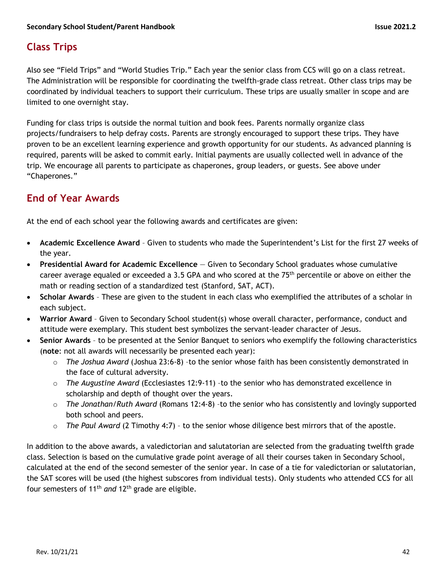## **Class Trips**

Also see "Field Trips" and "World Studies Trip." Each year the senior class from CCS will go on a class retreat. The Administration will be responsible for coordinating the twelfth-grade class retreat. Other class trips may be coordinated by individual teachers to support their curriculum. These trips are usually smaller in scope and are limited to one overnight stay.

Funding for class trips is outside the normal tuition and book fees. Parents normally organize class projects/fundraisers to help defray costs. Parents are strongly encouraged to support these trips. They have proven to be an excellent learning experience and growth opportunity for our students. As advanced planning is required, parents will be asked to commit early. Initial payments are usually collected well in advance of the trip. We encourage all parents to participate as chaperones, group leaders, or guests. See above under "Chaperones."

## **End of Year Awards**

At the end of each school year the following awards and certificates are given:

- **Academic Excellence Award** Given to students who made the Superintendent's List for the first 27 weeks of the year.
- **Presidential Award for Academic Excellence** Given to Secondary School graduates whose cumulative career average equaled or exceeded a 3.5 GPA and who scored at the 75th percentile or above on either the math or reading section of a standardized test (Stanford, SAT, ACT).
- **Scholar Awards** These are given to the student in each class who exemplified the attributes of a scholar in each subject.
- **Warrior Award** Given to Secondary School student(s) whose overall character, performance, conduct and attitude were exemplary. This student best symbolizes the servant-leader character of Jesus.
- **Senior Awards** to be presented at the Senior Banquet to seniors who exemplify the following characteristics (**note**: not all awards will necessarily be presented each year):
	- o *The Joshua Award* (Joshua 23:6-8) –to the senior whose faith has been consistently demonstrated in the face of cultural adversity.
	- o *The Augustine Award* (Ecclesiastes 12:9-11) –to the senior who has demonstrated excellence in scholarship and depth of thought over the years.
	- o *The Jonathan/Ruth Award* (Romans 12:4-8) –to the senior who has consistently and lovingly supported both school and peers.
	- o *The Paul Award* (2 Timothy 4:7) to the senior whose diligence best mirrors that of the apostle.

In addition to the above awards, a valedictorian and salutatorian are selected from the graduating twelfth grade class. Selection is based on the cumulative grade point average of all their courses taken in Secondary School, calculated at the end of the second semester of the senior year. In case of a tie for valedictorian or salutatorian, the SAT scores will be used (the highest subscores from individual tests). Only students who attended CCS for all four semesters of 11th *and* 12th grade are eligible.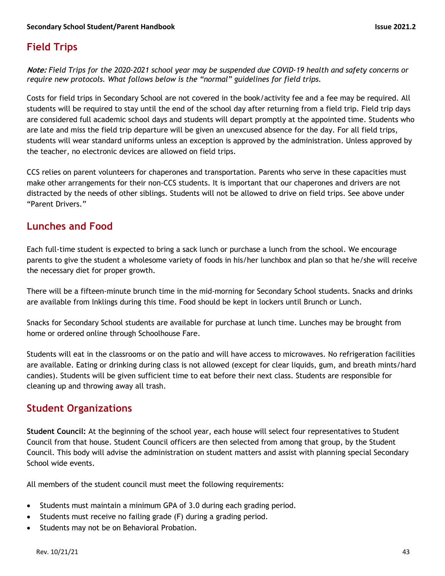## **Field Trips**

**Note:** *Field Trips for the 2020-2021 school year may be suspended due COVID-19 health and safety concerns or require new protocols. What follows below is the "normal" guidelines for field trips.*

Costs for field trips in Secondary School are not covered in the book/activity fee and a fee may be required. All students will be required to stay until the end of the school day after returning from a field trip. Field trip days are considered full academic school days and students will depart promptly at the appointed time. Students who are late and miss the field trip departure will be given an unexcused absence for the day. For all field trips, students will wear standard uniforms unless an exception is approved by the administration. Unless approved by the teacher, no electronic devices are allowed on field trips.

CCS relies on parent volunteers for chaperones and transportation. Parents who serve in these capacities must make other arrangements for their non-CCS students. It is important that our chaperones and drivers are not distracted by the needs of other siblings. Students will not be allowed to drive on field trips. See above under "Parent Drivers."

## **Lunches and Food**

Each full-time student is expected to bring a sack lunch or purchase a lunch from the school. We encourage parents to give the student a wholesome variety of foods in his/her lunchbox and plan so that he/she will receive the necessary diet for proper growth.

There will be a fifteen-minute brunch time in the mid-morning for Secondary School students. Snacks and drinks are available from Inklings during this time. Food should be kept in lockers until Brunch or Lunch.

Snacks for Secondary School students are available for purchase at lunch time. Lunches may be brought from home or ordered online through Schoolhouse Fare.

Students will eat in the classrooms or on the patio and will have access to microwaves. No refrigeration facilities are available. Eating or drinking during class is not allowed (except for clear liquids, gum, and breath mints/hard candies). Students will be given sufficient time to eat before their next class. Students are responsible for cleaning up and throwing away all trash.

## **Student Organizations**

**Student Council:** At the beginning of the school year, each house will select four representatives to Student Council from that house. Student Council officers are then selected from among that group, by the Student Council. This body will advise the administration on student matters and assist with planning special Secondary School wide events.

All members of the student council must meet the following requirements:

- Students must maintain a minimum GPA of 3.0 during each grading period.
- Students must receive no failing grade (F) during a grading period.
- Students may not be on Behavioral Probation.